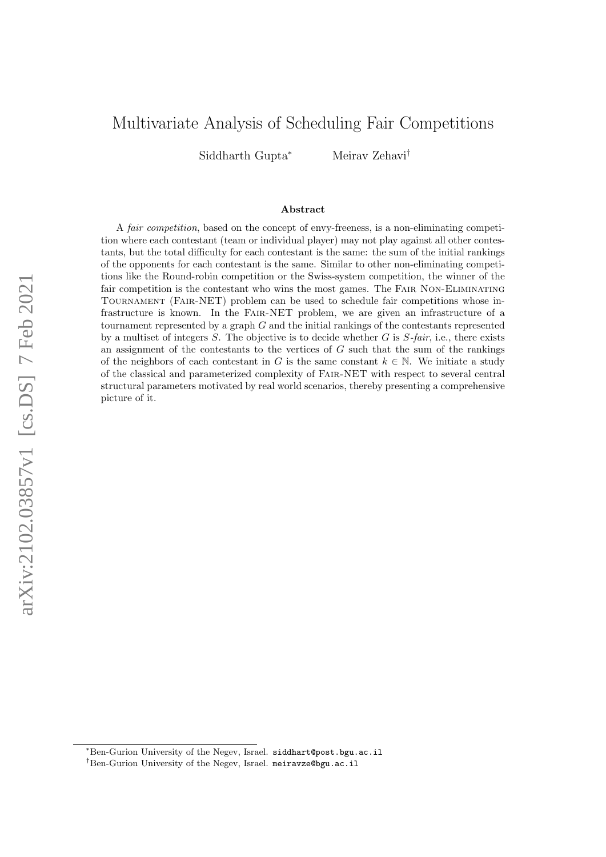# <span id="page-0-0"></span>Multivariate Analysis of Scheduling Fair Competitions

Siddharth Gupta<sup>∗</sup> Meirav Zehavi†

#### Abstract

A fair competition, based on the concept of envy-freeness, is a non-eliminating competition where each contestant (team or individual player) may not play against all other contestants, but the total difficulty for each contestant is the same: the sum of the initial rankings of the opponents for each contestant is the same. Similar to other non-eliminating competitions like the Round-robin competition or the Swiss-system competition, the winner of the fair competition is the contestant who wins the most games. The Fair Non-Eliminating Tournament (Fair-NET) problem can be used to schedule fair competitions whose infrastructure is known. In the Fair-NET problem, we are given an infrastructure of a tournament represented by a graph G and the initial rankings of the contestants represented by a multiset of integers  $S$ . The objective is to decide whether  $G$  is  $S$ -fair, i.e., there exists an assignment of the contestants to the vertices of  $G$  such that the sum of the rankings of the neighbors of each contestant in G is the same constant  $k \in \mathbb{N}$ . We initiate a study of the classical and parameterized complexity of Fair-NET with respect to several central structural parameters motivated by real world scenarios, thereby presenting a comprehensive picture of it.

<sup>∗</sup>Ben-Gurion University of the Negev, Israel. siddhart@post.bgu.ac.il

<sup>†</sup>Ben-Gurion University of the Negev, Israel. meiravze@bgu.ac.il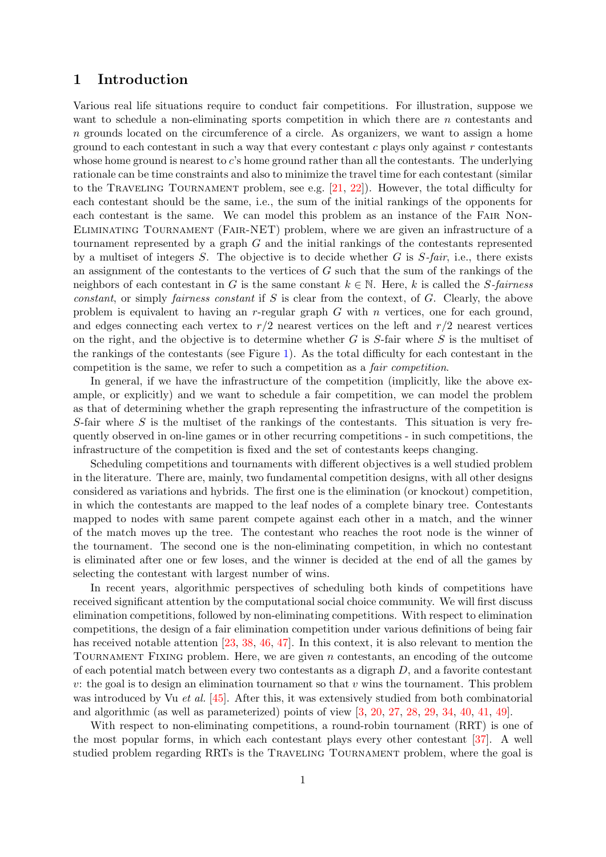# 1 Introduction

Various real life situations require to conduct fair competitions. For illustration, suppose we want to schedule a non-eliminating sports competition in which there are n contestants and n grounds located on the circumference of a circle. As organizers, we want to assign a home ground to each contestant in such a way that every contestant  $c$  plays only against  $r$  contestants whose home ground is nearest to c's home ground rather than all the contestants. The underlying rationale can be time constraints and also to minimize the travel time for each contestant (similar to the Traveling Tournament problem, see e.g. [\[21,](#page-20-0) [22\]](#page-20-1)). However, the total difficulty for each contestant should be the same, i.e., the sum of the initial rankings of the opponents for each contestant is the same. We can model this problem as an instance of the Fair Non-Eliminating Tournament (Fair-NET) problem, where we are given an infrastructure of a tournament represented by a graph G and the initial rankings of the contestants represented by a multiset of integers S. The objective is to decide whether G is  $S$ -fair, i.e., there exists an assignment of the contestants to the vertices of G such that the sum of the rankings of the neighbors of each contestant in G is the same constant  $k \in \mathbb{N}$ . Here, k is called the S-fairness constant, or simply fairness constant if S is clear from the context, of G. Clearly, the above problem is equivalent to having an r-regular graph  $G$  with n vertices, one for each ground, and edges connecting each vertex to  $r/2$  nearest vertices on the left and  $r/2$  nearest vertices on the right, and the objective is to determine whether  $G$  is  $S$ -fair where  $S$  is the multiset of the rankings of the contestants (see Figure [1\)](#page-2-0). As the total difficulty for each contestant in the competition is the same, we refer to such a competition as a fair competition.

In general, if we have the infrastructure of the competition (implicitly, like the above example, or explicitly) and we want to schedule a fair competition, we can model the problem as that of determining whether the graph representing the infrastructure of the competition is S-fair where  $S$  is the multiset of the rankings of the contestants. This situation is very frequently observed in on-line games or in other recurring competitions - in such competitions, the infrastructure of the competition is fixed and the set of contestants keeps changing.

Scheduling competitions and tournaments with different objectives is a well studied problem in the literature. There are, mainly, two fundamental competition designs, with all other designs considered as variations and hybrids. The first one is the elimination (or knockout) competition, in which the contestants are mapped to the leaf nodes of a complete binary tree. Contestants mapped to nodes with same parent compete against each other in a match, and the winner of the match moves up the tree. The contestant who reaches the root node is the winner of the tournament. The second one is the non-eliminating competition, in which no contestant is eliminated after one or few loses, and the winner is decided at the end of all the games by selecting the contestant with largest number of wins.

In recent years, algorithmic perspectives of scheduling both kinds of competitions have received significant attention by the computational social choice community. We will first discuss elimination competitions, followed by non-eliminating competitions. With respect to elimination competitions, the design of a fair elimination competition under various definitions of being fair has received notable attention [\[23,](#page-20-2) [38,](#page-21-0) [46,](#page-22-0) [47\]](#page-22-1). In this context, it is also relevant to mention the Tournament Fixing problem. Here, we are given n contestants, an encoding of the outcome of each potential match between every two contestants as a digraph  $D$ , and a favorite contestant v: the goal is to design an elimination tournament so that  $v$  wins the tournament. This problem was introduced by Vu *et al.* [\[45\]](#page-21-1). After this, it was extensively studied from both combinatorial and algorithmic (as well as parameterized) points of view [\[3,](#page-19-0) [20,](#page-20-3) [27,](#page-20-4) [28,](#page-20-5) [29,](#page-20-6) [34,](#page-21-2) [40,](#page-21-3) [41,](#page-21-4) [49\]](#page-22-2).

With respect to non-eliminating competitions, a round-robin tournament (RRT) is one of the most popular forms, in which each contestant plays every other contestant [\[37\]](#page-21-5). A well studied problem regarding RRTs is the TRAVELING TOURNAMENT problem, where the goal is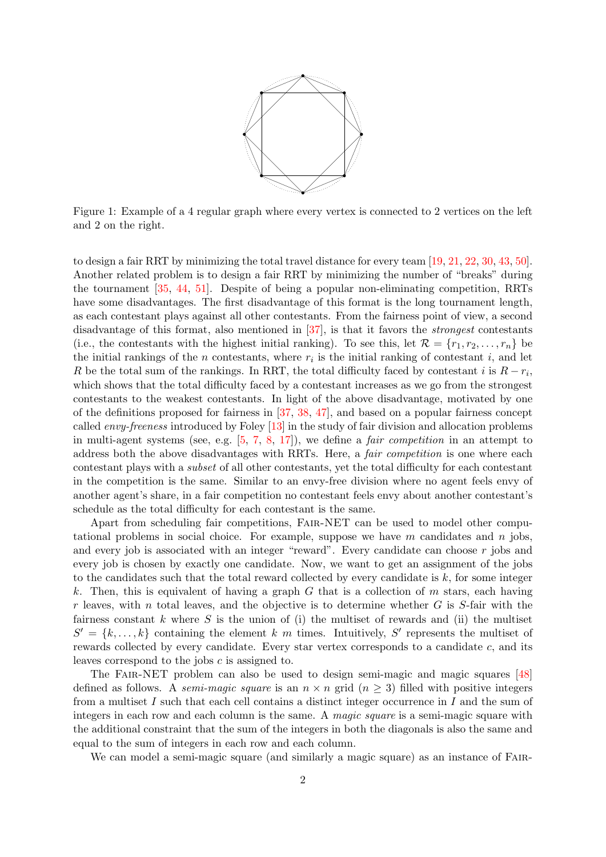

<span id="page-2-1"></span><span id="page-2-0"></span>Figure 1: Example of a 4 regular graph where every vertex is connected to 2 vertices on the left and 2 on the right.

to design a fair RRT by minimizing the total travel distance for every team [\[19,](#page-20-7) [21,](#page-20-0) [22,](#page-20-1) [30,](#page-20-8) [43,](#page-21-6) [50\]](#page-22-3). Another related problem is to design a fair RRT by minimizing the number of "breaks" during the tournament [\[35,](#page-21-7) [44,](#page-21-8) [51\]](#page-22-4). Despite of being a popular non-eliminating competition, RRTs have some disadvantages. The first disadvantage of this format is the long tournament length, as each contestant plays against all other contestants. From the fairness point of view, a second disadvantage of this format, also mentioned in [\[37\]](#page-21-5), is that it favors the strongest contestants (i.e., the contestants with the highest initial ranking). To see this, let  $\mathcal{R} = \{r_1, r_2, \ldots, r_n\}$  be the initial rankings of the *n* contestants, where  $r_i$  is the initial ranking of contestant *i*, and let R be the total sum of the rankings. In RRT, the total difficulty faced by contestant i is  $R - r_i$ , which shows that the total difficulty faced by a contestant increases as we go from the strongest contestants to the weakest contestants. In light of the above disadvantage, motivated by one of the definitions proposed for fairness in [\[37,](#page-21-5) [38,](#page-21-0) [47\]](#page-22-1), and based on a popular fairness concept called envy-freeness introduced by Foley [\[13\]](#page-19-1) in the study of fair division and allocation problems in multi-agent systems (see, e.g.  $[5, 7, 8, 17]$  $[5, 7, 8, 17]$  $[5, 7, 8, 17]$  $[5, 7, 8, 17]$  $[5, 7, 8, 17]$  $[5, 7, 8, 17]$  $[5, 7, 8, 17]$ ), we define a *fair competition* in an attempt to address both the above disadvantages with RRTs. Here, a *fair competition* is one where each contestant plays with a subset of all other contestants, yet the total difficulty for each contestant in the competition is the same. Similar to an envy-free division where no agent feels envy of another agent's share, in a fair competition no contestant feels envy about another contestant's schedule as the total difficulty for each contestant is the same.

Apart from scheduling fair competitions, Fair-NET can be used to model other computational problems in social choice. For example, suppose we have  $m$  candidates and  $n$  jobs, and every job is associated with an integer "reward". Every candidate can choose  $r$  jobs and every job is chosen by exactly one candidate. Now, we want to get an assignment of the jobs to the candidates such that the total reward collected by every candidate is k, for some integer k. Then, this is equivalent of having a graph  $G$  that is a collection of  $m$  stars, each having r leaves, with n total leaves, and the objective is to determine whether  $G$  is  $S$ -fair with the fairness constant k where S is the union of (i) the multiset of rewards and (ii) the multiset  $S' = \{k, \ldots, k\}$  containing the element k m times. Intuitively, S' represents the multiset of rewards collected by every candidate. Every star vertex corresponds to a candidate c, and its leaves correspond to the jobs c is assigned to.

The Fair-NET problem can also be used to design semi-magic and magic squares [\[48\]](#page-22-5) defined as follows. A *semi-magic square* is an  $n \times n$  grid ( $n \geq 3$ ) filled with positive integers from a multiset I such that each cell contains a distinct integer occurrence in I and the sum of integers in each row and each column is the same. A magic square is a semi-magic square with the additional constraint that the sum of the integers in both the diagonals is also the same and equal to the sum of integers in each row and each column.

We can model a semi-magic square (and similarly a magic square) as an instance of FAIR-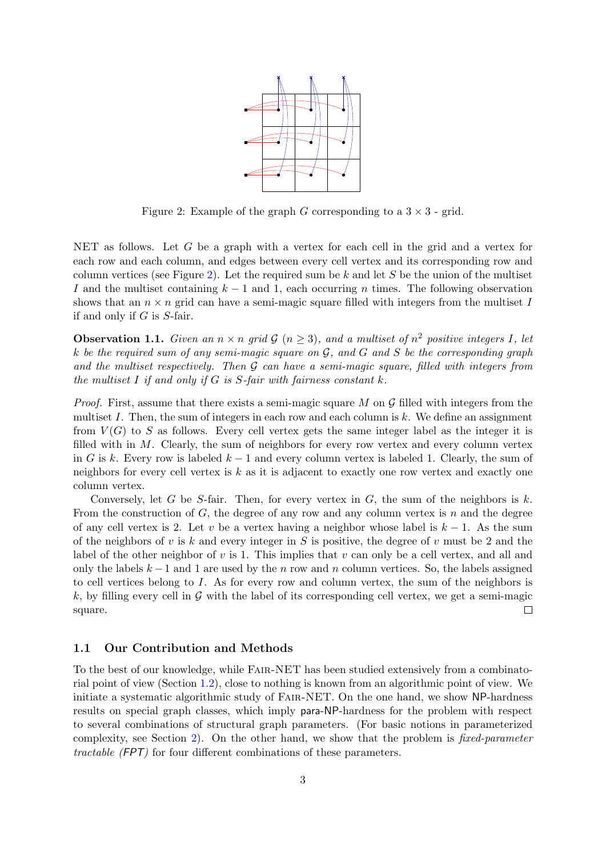

<span id="page-3-0"></span>Figure 2: Example of the graph G corresponding to a  $3 \times 3$  - grid.

NET as follows. Let G be a graph with a vertex for each cell in the grid and a vertex for each row and each column, and edges between every cell vertex and its corresponding row and column vertices (see Figure [2\)](#page-3-0). Let the required sum be  $k$  and let  $S$  be the union of the multiset I and the multiset containing  $k-1$  and 1, each occurring n times. The following observation shows that an  $n \times n$  grid can have a semi-magic square filled with integers from the multiset I if and only if  $G$  is  $S$ -fair.

**Observation 1.1.** Given an  $n \times n$  grid  $\mathcal{G}$   $(n \geq 3)$ , and a multiset of  $n^2$  positive integers I, let k be the required sum of any semi-magic square on  $\mathcal G$ , and  $G$  and  $S$  be the corresponding graph and the multiset respectively. Then  $G$  can have a semi-magic square, filled with integers from the multiset I if and only if G is  $S$ -fair with fairness constant k.

*Proof.* First, assume that there exists a semi-magic square M on  $\mathcal G$  filled with integers from the multiset I. Then, the sum of integers in each row and each column is  $k$ . We define an assignment from  $V(G)$  to S as follows. Every cell vertex gets the same integer label as the integer it is filled with in M. Clearly, the sum of neighbors for every row vertex and every column vertex in G is k. Every row is labeled  $k-1$  and every column vertex is labeled 1. Clearly, the sum of neighbors for every cell vertex is k as it is adjacent to exactly one row vertex and exactly one column vertex.

Conversely, let G be S-fair. Then, for every vertex in  $G$ , the sum of the neighbors is k. From the construction of  $G$ , the degree of any row and any column vertex is  $n$  and the degree of any cell vertex is 2. Let v be a vertex having a neighbor whose label is  $k-1$ . As the sum of the neighbors of v is k and every integer in S is positive, the degree of v must be 2 and the label of the other neighbor of  $v$  is 1. This implies that  $v$  can only be a cell vertex, and all and only the labels  $k-1$  and 1 are used by the n row and n column vertices. So, the labels assigned to cell vertices belong to I. As for every row and column vertex, the sum of the neighbors is k, by filling every cell in  $\mathcal G$  with the label of its corresponding cell vertex, we get a semi-magic  $\Box$ square.

#### 1.1 Our Contribution and Methods

To the best of our knowledge, while Fair-NET has been studied extensively from a combinatorial point of view (Section [1.2\)](#page-4-0), close to nothing is known from an algorithmic point of view. We initiate a systematic algorithmic study of FAIR-NET. On the one hand, we show NP-hardness results on special graph classes, which imply para-NP-hardness for the problem with respect to several combinations of structural graph parameters. (For basic notions in parameterized complexity, see Section [2\)](#page-5-0). On the other hand, we show that the problem is fixed-parameter tractable (FPT) for four different combinations of these parameters.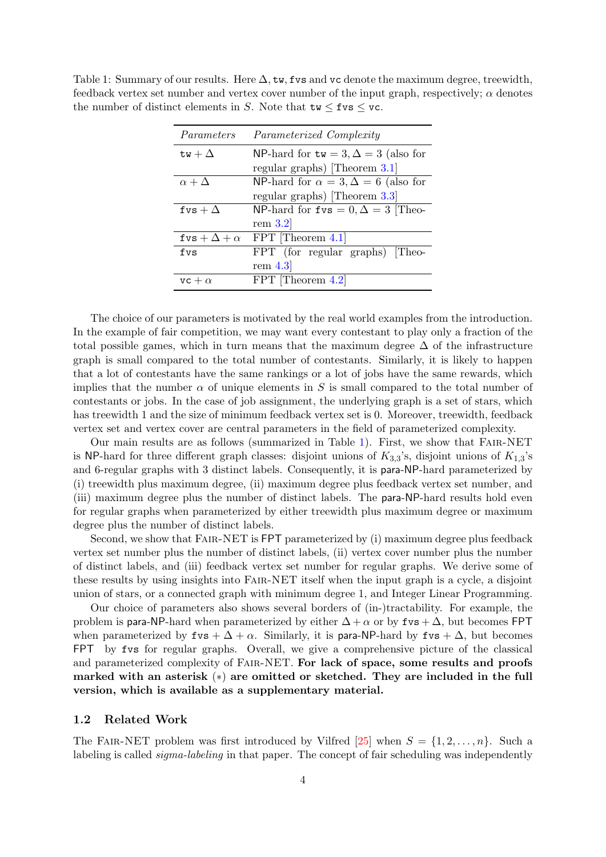| Parameterized Complexity                       |
|------------------------------------------------|
| NP-hard for $tw = 3, \Delta = 3$ (also for     |
| regular graphs) [Theorem $3.1$ ]               |
| NP-hard for $\alpha = 3, \Delta = 6$ (also for |
| regular graphs) [Theorem $3.3$ ]               |
| NP-hard for $fvs = 0, \Delta = 3$ [Theo-       |
| rem 3.2                                        |
| FPT [Theorem 4.1]                              |
| FPT (for regular graphs) Theo-                 |
| rem $4.3$                                      |
| FPT Theorem 4.2                                |
|                                                |

<span id="page-4-2"></span><span id="page-4-1"></span>Table 1: Summary of our results. Here  $\Delta$ , tw, fvs and vc denote the maximum degree, treewidth, feedback vertex set number and vertex cover number of the input graph, respectively;  $\alpha$  denotes the number of distinct elements in S. Note that  $tw \leq fvs \leq vc$ .

The choice of our parameters is motivated by the real world examples from the introduction. In the example of fair competition, we may want every contestant to play only a fraction of the total possible games, which in turn means that the maximum degree  $\Delta$  of the infrastructure graph is small compared to the total number of contestants. Similarly, it is likely to happen that a lot of contestants have the same rankings or a lot of jobs have the same rewards, which implies that the number  $\alpha$  of unique elements in S is small compared to the total number of contestants or jobs. In the case of job assignment, the underlying graph is a set of stars, which has treewidth 1 and the size of minimum feedback vertex set is 0. Moreover, treewidth, feedback vertex set and vertex cover are central parameters in the field of parameterized complexity.

Our main results are as follows (summarized in Table [1\)](#page-4-1). First, we show that Fair-NET is NP-hard for three different graph classes: disjoint unions of  $K_{3,3}$ 's, disjoint unions of  $K_{1,3}$ 's and 6-regular graphs with 3 distinct labels. Consequently, it is para-NP-hard parameterized by (i) treewidth plus maximum degree, (ii) maximum degree plus feedback vertex set number, and (iii) maximum degree plus the number of distinct labels. The para-NP-hard results hold even for regular graphs when parameterized by either treewidth plus maximum degree or maximum degree plus the number of distinct labels.

Second, we show that Fair-NET is FPT parameterized by (i) maximum degree plus feedback vertex set number plus the number of distinct labels, (ii) vertex cover number plus the number of distinct labels, and (iii) feedback vertex set number for regular graphs. We derive some of these results by using insights into Fair-NET itself when the input graph is a cycle, a disjoint union of stars, or a connected graph with minimum degree 1, and Integer Linear Programming.

Our choice of parameters also shows several borders of (in-)tractability. For example, the problem is para-NP-hard when parameterized by either  $\Delta + \alpha$  or by fvs +  $\Delta$ , but becomes FPT when parameterized by  $fvs + \Delta + \alpha$ . Similarly, it is para-NP-hard by  $fvs + \Delta$ , but becomes FPT by fvs for regular graphs. Overall, we give a comprehensive picture of the classical and parameterized complexity of Fair-NET. For lack of space, some results and proofs marked with an asterisk (∗) are omitted or sketched. They are included in the full version, which is available as a supplementary material.

#### <span id="page-4-0"></span>1.2 Related Work

The FAIR-NET problem was first introduced by Vilfred [\[25\]](#page-20-10) when  $S = \{1, 2, \ldots, n\}$ . Such a labeling is called sigma-labeling in that paper. The concept of fair scheduling was independently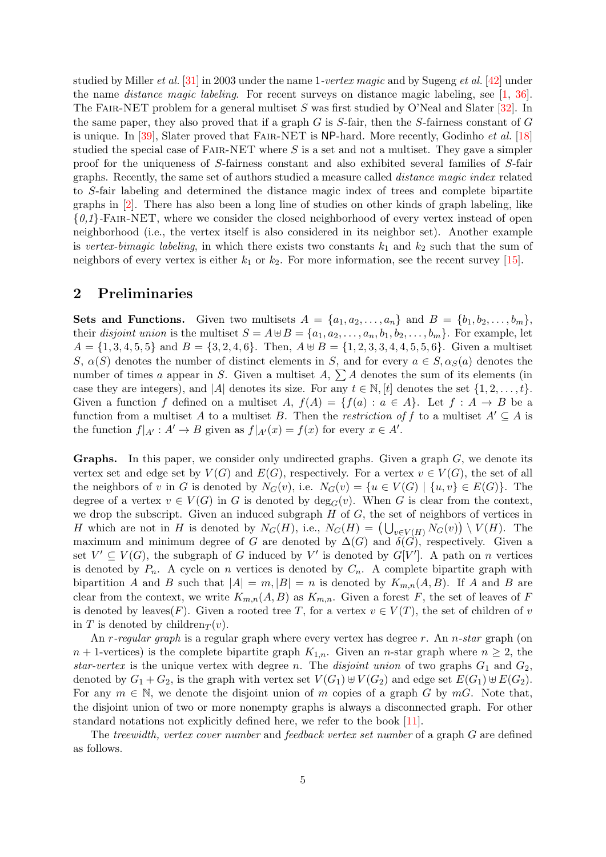<span id="page-5-1"></span>studied by Miller *et al.* [\[31\]](#page-21-9) in 2003 under the name 1-vertex magic and by Sugeng *et al.* [\[42\]](#page-21-10) under the name *distance magic labeling*. For recent surveys on distance magic labeling, see [\[1,](#page-19-5) [36\]](#page-21-11). The FAIR-NET problem for a general multiset  $S$  was first studied by O'Neal and Slater [\[32\]](#page-21-12). In the same paper, they also proved that if a graph  $G$  is  $S$ -fair, then the  $S$ -fairness constant of  $G$ is unique. In [\[39\]](#page-21-13), Slater proved that FAIR-NET is NP-hard. More recently, Godinho *et al.* [\[18\]](#page-20-11) studied the special case of FAIR-NET where  $S$  is a set and not a multiset. They gave a simpler proof for the uniqueness of S-fairness constant and also exhibited several families of S-fair graphs. Recently, the same set of authors studied a measure called distance magic index related to S-fair labeling and determined the distance magic index of trees and complete bipartite graphs in [\[2\]](#page-19-6). There has also been a long line of studies on other kinds of graph labeling, like  ${0,1}$ -FAIR-NET, where we consider the closed neighborhood of every vertex instead of open neighborhood (i.e., the vertex itself is also considered in its neighbor set). Another example is vertex-bimagic labeling, in which there exists two constants  $k_1$  and  $k_2$  such that the sum of neighbors of every vertex is either  $k_1$  or  $k_2$ . For more information, see the recent survey [\[15\]](#page-19-7).

#### <span id="page-5-0"></span>2 Preliminaries

Sets and Functions. Given two multisets  $A = \{a_1, a_2, \ldots, a_n\}$  and  $B = \{b_1, b_2, \ldots, b_m\}$ , their disjoint union is the multiset  $S = A \oplus B = \{a_1, a_2, \ldots, a_n, b_1, b_2, \ldots, b_m\}$ . For example, let  $A = \{1, 3, 4, 5, 5\}$  and  $B = \{3, 2, 4, 6\}$ . Then,  $A \oplus B = \{1, 2, 3, 3, 4, 4, 5, 5, 6\}$ . Given a multiset S,  $\alpha(S)$  denotes the number of distinct elements in S, and for every  $a \in S$ ,  $\alpha_S(a)$  denotes the number of times a appear in S. Given a multiset  $A, \sum A$  denotes the sum of its elements (in case they are integers), and |A| denotes its size. For any  $t \in \mathbb{N}$ , [t] denotes the set  $\{1, 2, \ldots, t\}$ . Given a function f defined on a multiset A,  $f(A) = \{f(a) : a \in A\}$ . Let  $f : A \rightarrow B$  be a function from a multiset A to a multiset B. Then the restriction of f to a multiset  $A' \subseteq A$  is the function  $f|_{A'} : A' \to B$  given as  $f|_{A'}(x) = f(x)$  for every  $x \in A'$ .

**Graphs.** In this paper, we consider only undirected graphs. Given a graph  $G$ , we denote its vertex set and edge set by  $V(G)$  and  $E(G)$ , respectively. For a vertex  $v \in V(G)$ , the set of all the neighbors of v in G is denoted by  $N_G(v)$ , i.e.  $N_G(v) = \{u \in V(G) \mid \{u, v\} \in E(G)\}\.$  The degree of a vertex  $v \in V(G)$  in G is denoted by  $\deg_G(v)$ . When G is clear from the context, we drop the subscript. Given an induced subgraph  $H$  of  $G$ , the set of neighbors of vertices in H which are not in H is denoted by  $N_G(H)$ , i.e.,  $N_G(H) = (\bigcup_{v \in V(H)} N_G(v)) \setminus V(H)$ . The maximum and minimum degree of G are denoted by  $\Delta(G)$  and  $\delta(G)$ , respectively. Given a set  $V' \subseteq V(G)$ , the subgraph of G induced by V' is denoted by  $G[V']$ . A path on n vertices is denoted by  $P_n$ . A cycle on n vertices is denoted by  $C_n$ . A complete bipartite graph with bipartition A and B such that  $|A| = m$ ,  $|B| = n$  is denoted by  $K_{m,n}(A, B)$ . If A and B are clear from the context, we write  $K_{m,n}(A, B)$  as  $K_{m,n}$ . Given a forest F, the set of leaves of F is denoted by leaves(F). Given a rooted tree T, for a vertex  $v \in V(T)$ , the set of children of v in T is denoted by children $_T(v)$ .

An r-regular graph is a regular graph where every vertex has degree r. An n-star graph (on  $n + 1$ -vertices) is the complete bipartite graph  $K_{1,n}$ . Given an *n*-star graph where  $n \geq 2$ , the star-vertex is the unique vertex with degree n. The disjoint union of two graphs  $G_1$  and  $G_2$ , denoted by  $G_1 + G_2$ , is the graph with vertex set  $V(G_1) \oplus V(G_2)$  and edge set  $E(G_1) \oplus E(G_2)$ . For any  $m \in \mathbb{N}$ , we denote the disjoint union of m copies of a graph G by mG. Note that, the disjoint union of two or more nonempty graphs is always a disconnected graph. For other standard notations not explicitly defined here, we refer to the book [\[11\]](#page-19-8).

The treewidth, vertex cover number and feedback vertex set number of a graph G are defined as follows.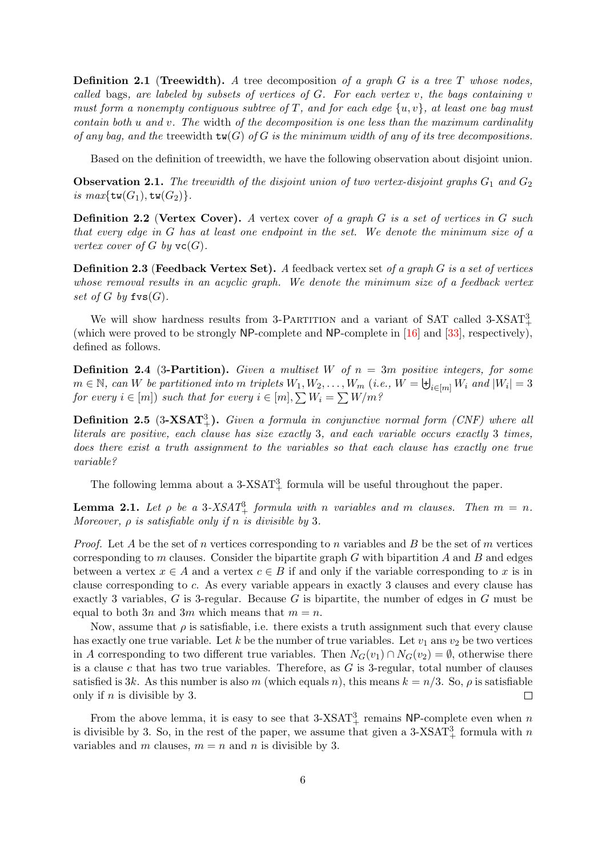<span id="page-6-3"></span>**Definition 2.1 (Treewidth).** A tree decomposition of a graph G is a tree T whose nodes, called bags, are labeled by subsets of vertices of  $G$ . For each vertex  $v$ , the bags containing  $v$ must form a nonempty contiguous subtree of T, and for each edge  $\{u, v\}$ , at least one bag must contain both u and v. The width of the decomposition is one less than the maximum cardinality of any bag, and the treewidth  $tw(G)$  of G is the minimum width of any of its tree decompositions.

Based on the definition of treewidth, we have the following observation about disjoint union.

<span id="page-6-0"></span>**Observation 2.1.** The treewidth of the disjoint union of two vertex-disjoint graphs  $G_1$  and  $G_2$ is  $max\{\text{tw}(G_1), \text{tw}(G_2)\}.$ 

**Definition 2.2 (Vertex Cover).** A vertex cover of a graph G is a set of vertices in G such that every edge in G has at least one endpoint in the set. We denote the minimum size of a vertex cover of G by  $\text{vc}(G)$ .

**Definition 2.3 (Feedback Vertex Set).** A feedback vertex set of a graph  $G$  is a set of vertices whose removal results in an acyclic graph. We denote the minimum size of a feedback vertex set of G by  $f\mathbf{vs}(G)$ .

We will show hardness results from 3-PARTITION and a variant of SAT called  $3\text{-}X\text{SAT}^3_+$ (which were proved to be strongly NP-complete and NP-complete in  $[16]$  and  $[33]$ , respectively), defined as follows.

<span id="page-6-1"></span>**Definition 2.4** (3-Partition). Given a multiset W of  $n = 3m$  positive integers, for some  $m \in \mathbb{N}$ , can W be partitioned into m triplets  $W_1, W_2, \ldots, W_m$  (i.e.,  $W = \biguplus_{i \in [m]} W_i$  and  $|W_i| = 3$ for every  $i \in [m])$  such that for every  $i \in [m],$   $\sum W_i = \sum W/m$ ?

**Definition 2.5** (3-XSAT<sup>3</sup><sub>+</sub>). Given a formula in conjunctive normal form (CNF) where all literals are positive, each clause has size exactly 3, and each variable occurs exactly 3 times, does there exist a truth assignment to the variables so that each clause has exactly one true variable?

The following lemma about a  $3-XSAT<sub>+</sub><sup>3</sup>$  formula will be useful throughout the paper.

<span id="page-6-2"></span>**Lemma 2.1.** Let  $\rho$  be a 3-XSAT<sup>3</sup><sub>+</sub> formula with n variables and m clauses. Then  $m = n$ . Moreover,  $\rho$  is satisfiable only if n is divisible by 3.

*Proof.* Let A be the set of n vertices corresponding to n variables and B be the set of m vertices corresponding to  $m$  clauses. Consider the bipartite graph  $G$  with bipartition  $A$  and  $B$  and edges between a vertex  $x \in A$  and a vertex  $c \in B$  if and only if the variable corresponding to x is in clause corresponding to c. As every variable appears in exactly 3 clauses and every clause has exactly 3 variables,  $G$  is 3-regular. Because  $G$  is bipartite, the number of edges in  $G$  must be equal to both 3n and 3m which means that  $m = n$ .

Now, assume that  $\rho$  is satisfiable, i.e. there exists a truth assignment such that every clause has exactly one true variable. Let k be the number of true variables. Let  $v_1$  ans  $v_2$  be two vertices in A corresponding to two different true variables. Then  $N_G(v_1) \cap N_G(v_2) = \emptyset$ , otherwise there is a clause c that has two true variables. Therefore, as  $G$  is 3-regular, total number of clauses satisfied is 3k. As this number is also m (which equals n), this means  $k = n/3$ . So,  $\rho$  is satisfiable only if  $n$  is divisible by 3.  $\Box$ 

From the above lemma, it is easy to see that  $3-\text{XSAT}^3_+$  remains NP-complete even when n is divisible by 3. So, in the rest of the paper, we assume that given a  $3\text{-}*X*SAT<sup>3</sup><sub>+</sub>$  formula with n variables and m clauses,  $m = n$  and n is divisible by 3.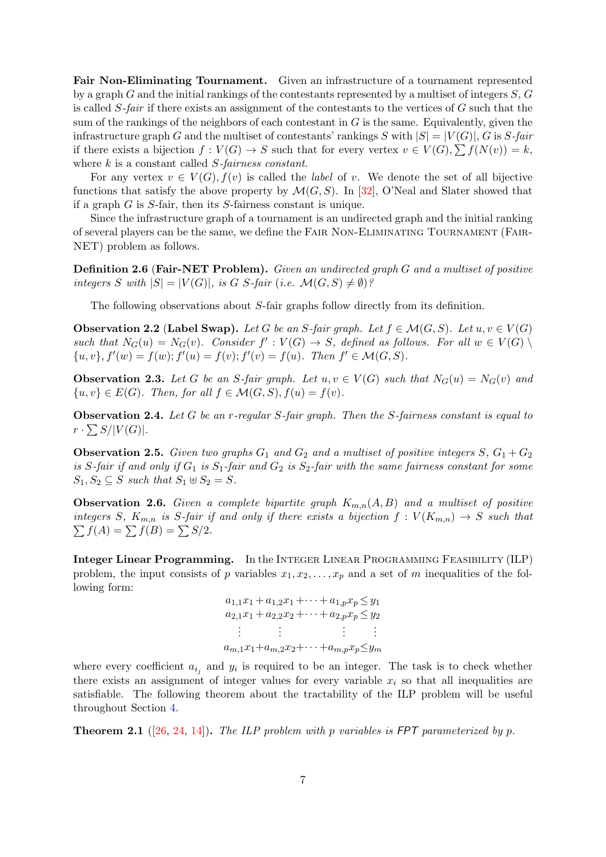<span id="page-7-6"></span>Fair Non-Eliminating Tournament. Given an infrastructure of a tournament represented by a graph  $G$  and the initial rankings of the contestants represented by a multiset of integers  $S, G$ is called  $S$ -fair if there exists an assignment of the contestants to the vertices of  $G$  such that the sum of the rankings of the neighbors of each contestant in  $G$  is the same. Equivalently, given the infrastructure graph G and the multiset of contestants' rankings S with  $|S| = |V(G)|$ , G is S-fair if there exists a bijection  $f: V(G) \to S$  such that for every vertex  $v \in V(G), \sum f(N(v)) = k$ , where  $k$  is a constant called  $S$ -fairness constant.

For any vertex  $v \in V(G)$ ,  $f(v)$  is called the *label* of v. We denote the set of all bijective functions that satisfy the above property by  $\mathcal{M}(G, S)$ . In [\[32\]](#page-21-12), O'Neal and Slater showed that if a graph  $G$  is  $S$ -fair, then its  $S$ -fairness constant is unique.

Since the infrastructure graph of a tournament is an undirected graph and the initial ranking of several players can be the same, we define the Fair Non-Eliminating Tournament (Fair-NET) problem as follows.

**Definition 2.6 (Fair-NET Problem).** Given an undirected graph G and a multiset of positive integers S with  $|S| = |V(G)|$ , is G S-fair (i.e.  $\mathcal{M}(G, S) \neq \emptyset$ )?

The following observations about S-fair graphs follow directly from its definition.

<span id="page-7-4"></span>**Observation 2.2 (Label Swap).** Let G be an S-fair graph. Let  $f \in \mathcal{M}(G, S)$ . Let  $u, v \in V(G)$ such that  $N_G(u) = N_G(v)$ . Consider  $f' : V(G) \to S$ , defined as follows. For all  $w \in V(G) \setminus S$  $\{u, v\}, f'(w) = f(w); f'(u) = f(v); f'(v) = f(u).$  Then  $f' \in \mathcal{M}(G, S)$ .

<span id="page-7-3"></span>**Observation 2.3.** Let G be an S-fair graph. Let  $u, v \in V(G)$  such that  $N_G(u) = N_G(v)$  and  $\{u, v\} \in E(G)$ . Then, for all  $f \in \mathcal{M}(G, S), f(u) = f(v)$ .

<span id="page-7-2"></span>**Observation 2.4.** Let G be an r-regular S-fair graph. Then the S-fairness constant is equal to  $r \cdot \sum S/|V(G)|$ .

<span id="page-7-0"></span>**Observation 2.5.** Given two graphs  $G_1$  and  $G_2$  and a multiset of positive integers  $S$ ,  $G_1 + G_2$ is S-fair if and only if  $G_1$  is  $S_1$ -fair and  $G_2$  is  $S_2$ -fair with the same fairness constant for some  $S_1, S_2 \subseteq S$  such that  $S_1 \oplus S_2 = S$ .

<span id="page-7-1"></span>**Observation 2.6.** Given a complete bipartite graph  $K_{m,n}(A, B)$  and a multiset of positive integers S,  $K_{m,n}$  is S-fair if and only if there exists a bijection  $f: V(K_{m,n}) \to S$  such that  $\sum f(A) = \sum f(B) = \sum S/2.$ 

Integer Linear Programming. In the Integer Linear Programming Feasibility (ILP) problem, the input consists of p variables  $x_1, x_2, \ldots, x_p$  and a set of m inequalities of the following form:

$$
a_{1,1}x_1 + a_{1,2}x_1 + \cdots + a_{1,p}x_p \le y_1
$$
  
\n
$$
a_{2,1}x_1 + a_{2,2}x_2 + \cdots + a_{2,p}x_p \le y_2
$$
  
\n
$$
\vdots \qquad \vdots
$$
  
\n
$$
a_{m,1}x_1 + a_{m,2}x_2 + \cdots + a_{m,p}x_p \le y_m
$$

where every coefficient  $a_{i_j}$  and  $y_i$  is required to be an integer. The task is to check whether there exists an assignment of integer values for every variable  $x_i$  so that all inequalities are satisfiable. The following theorem about the tractability of the ILP problem will be useful throughout Section [4.](#page-11-0)

<span id="page-7-5"></span>**Theorem 2.1** ([\[26,](#page-20-13) [24,](#page-20-14) [14\]](#page-19-9)). The ILP problem with p variables is FPT parameterized by p.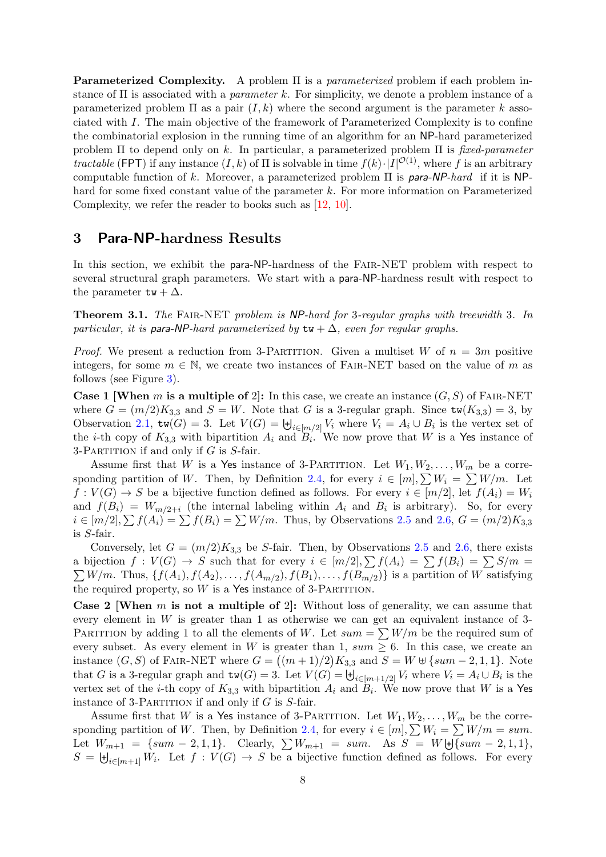<span id="page-8-1"></span>Parameterized Complexity. A problem Π is a parameterized problem if each problem instance of  $\Pi$  is associated with a *parameter k*. For simplicity, we denote a problem instance of a parameterized problem  $\Pi$  as a pair  $(I, k)$  where the second argument is the parameter k associated with I. The main objective of the framework of Parameterized Complexity is to confine the combinatorial explosion in the running time of an algorithm for an NP-hard parameterized problem  $\Pi$  to depend only on k. In particular, a parameterized problem  $\Pi$  is fixed-parameter *tractable* (FPT) if any instance  $(I, k)$  of  $\Pi$  is solvable in time  $f(k) \cdot |I|^{O(1)}$ , where f is an arbitrary computable function of k. Moreover, a parameterized problem  $\Pi$  is para-NP-hard if it is NPhard for some fixed constant value of the parameter k. For more information on Parameterized Complexity, we refer the reader to books such as [\[12,](#page-19-10) [10\]](#page-19-11).

# 3 Para-NP-hardness Results

In this section, we exhibit the para-NP-hardness of the FAIR-NET problem with respect to several structural graph parameters. We start with a para-NP-hardness result with respect to the parameter  $t w + \Delta$ .

<span id="page-8-0"></span>Theorem 3.1. The FAIR-NET problem is NP-hard for 3-regular graphs with treewidth 3. In particular, it is para-NP-hard parameterized by  $tw + \Delta$ , even for regular graphs.

*Proof.* We present a reduction from 3-PARTITION. Given a multiset W of  $n = 3m$  positive integers, for some  $m \in \mathbb{N}$ , we create two instances of FAIR-NET based on the value of m as follows (see Figure [3\)](#page-9-2).

**Case 1 When m is a multiple of 2:** In this case, we create an instance  $(G, S)$  of FAIR-NET where  $G = (m/2)K_{3,3}$  and  $S = W$ . Note that G is a 3-regular graph. Since  $tw(K_{3,3}) = 3$ , by Observation [2.1,](#page-6-0)  $tw(G) = 3$ . Let  $V(G) = \biguplus_{i \in [m/2]} V_i$  where  $V_i = A_i \cup B_i$  is the vertex set of the *i*-th copy of  $K_{3,3}$  with bipartition  $A_i$  and  $B_i$ . We now prove that W is a Yes instance of 3-PARTITION if and only if  $G$  is  $S$ -fair.

Assume first that W is a Yes instance of 3-PARTITION. Let  $W_1, W_2, \ldots, W_m$  be a corre-sponding partition of W. Then, by Definition [2.4,](#page-6-1) for every  $i \in [m], \sum W_i = \sum W/m$ . Let  $f: V(G) \to S$  be a bijective function defined as follows. For every  $i \in [m/2]$ , let  $f(A_i) = W_i$ and  $f(B_i) = W_{m/2+i}$  (the internal labeling within  $A_i$  and  $B_i$  is arbitrary). So, for every  $i \in [m/2], \sum f(A_i) = \sum f(B_i) = \sum W/m.$  Thus, by Observations [2.5](#page-7-0) and [2.6,](#page-7-1)  $G = (m/2)K_{3,3}$ is S-fair.

Conversely, let  $G = (m/2)K_{3,3}$  be S-fair. Then, by Observations [2.5](#page-7-0) and [2.6,](#page-7-1) there exists a bijection  $f: V(G) \to S$  such that for every  $i \in [m/2], \sum f(A_i) = \sum f(B_i) = \sum S/m =$  $\sum W/m$ . Thus,  $\{f(A_1), f(A_2), \ldots, f(A_{m/2}), f(B_1), \ldots, f(B_{m/2})\}$  is a partition of W satisfying the required property, so  $W$  is a Yes instance of 3-PARTITION.

**Case 2** [When m is not a multiple of 2]: Without loss of generality, we can assume that every element in W is greater than 1 as otherwise we can get an equivalent instance of 3- PARTITION by adding 1 to all the elements of W. Let  $sum = \sum W/m$  be the required sum of every subset. As every element in W is greater than 1,  $sum \ge 6$ . In this case, we create an instance  $(G, S)$  of FAIR-NET where  $G = ((m + 1)/2)K_{3,3}$  and  $S = W \cup \{sum - 2, 1, 1\}$ . Note that G is a 3-regular graph and  $tw(G) = 3$ . Let  $V(G) = \biguplus_{i \in [m+1/2]} V_i$  where  $V_i = A_i \cup B_i$  is the vertex set of the *i*-th copy of  $K_{3,3}$  with bipartition  $A_i$  and  $B_i$ . We now prove that W is a Yes instance of 3-PARTITION if and only if  $G$  is  $S$ -fair.

Assume first that W is a Yes instance of 3-PARTITION. Let  $W_1, W_2, \ldots, W_m$  be the corre-sponding partition of W. Then, by Definition [2.4,](#page-6-1) for every  $i \in [m], \sum W_i = \sum W/m = sum$ . Let  $W_{m+1} = \{ sum - 2, 1, 1 \}.$  Clearly,  $\sum W_{m+1} = sum.$  As  $S = W \biguplus \{ sum - 2, 1, 1 \}.$  $S = \biguplus_{i \in [m+1]} W_i$ . Let  $f : V(G) \to S$  be a bijective function defined as follows. For every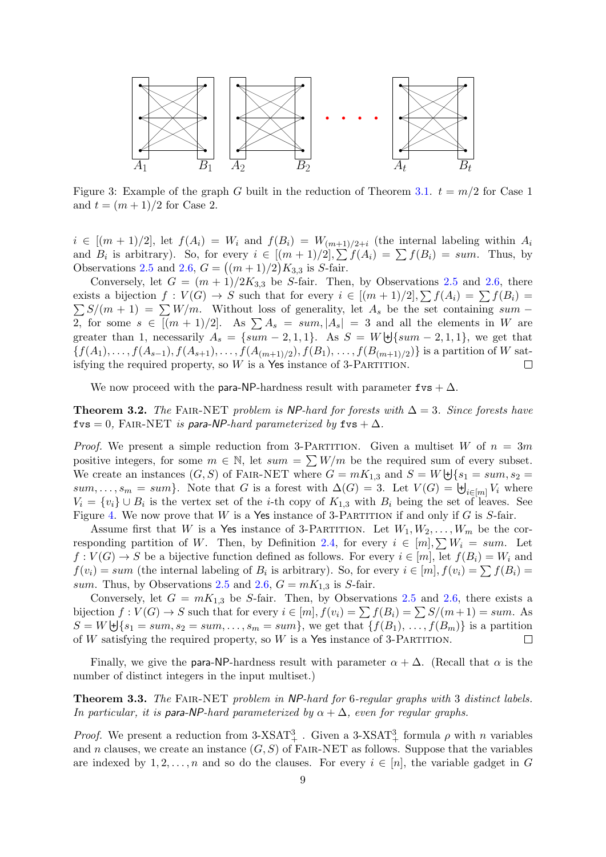<span id="page-9-2"></span>

Figure 3: Example of the graph G built in the reduction of Theorem [3.1.](#page-8-0)  $t = m/2$  for Case 1 and  $t = (m+1)/2$  for Case 2.

 $i \in [(m+1)/2]$ , let  $f(A_i) = W_i$  and  $f(B_i) = W_{(m+1)/2+i}$  (the internal labeling within  $A_i$ and  $B_i$  is arbitrary). So, for every  $i \in [(m+1)/2], \sum f(A_i) = \sum f(B_i) = sum$ . Thus, by Observations [2.5](#page-7-0) and [2.6,](#page-7-1)  $G = ((m + 1)/2)K_{3,3}$  is S-fair.

Conversely, let  $G = (m + 1)/2K_{3,3}$  be S-fair. Then, by Observations [2.5](#page-7-0) and [2.6,](#page-7-1) there exists a bijection  $f: V(G) \to S$  such that for every  $i \in [(m+1)/2], \sum f(A_i) = \sum f(B_i) =$  $\sum S/(m+1) = \sum W/m$ . Without loss of generality, let  $A_s$  be the set containing sum – 2, for some  $s \in [(m+1)/2]$ . As  $\sum A_s = \sum s |A_s| = 3$  and all the elements in W are greater than 1, necessarily  $A_s = \{sum - 2, 1, 1\}$ . As  $S = W \biguplus \{sum - 2, 1, 1\}$ , we get that  $\{f(A_1), \ldots, f(A_{s-1}), f(A_{s+1}), \ldots, f(A_{(m+1)/2}), f(B_1), \ldots, f(B_{(m+1)/2})\}$  is a partition of W satisfying the required property, so  $W$  is a Yes instance of 3-PARTITION.  $\Box$ 

We now proceed with the para-NP-hardness result with parameter  $fvs + \Delta$ .

<span id="page-9-1"></span>**Theorem 3.2.** The FAIR-NET problem is NP-hard for forests with  $\Delta = 3$ . Since forests have fvs = 0, FAIR-NET is para-NP-hard parameterized by fvs +  $\Delta$ .

*Proof.* We present a simple reduction from 3-PARTITION. Given a multiset W of  $n = 3m$ positive integers, for some  $m \in \mathbb{N}$ , let  $sum = \sum W/m$  be the required sum of every subset. We create an instances  $(G, S)$  of FAIR-NET where  $G = mK_{1,3}$  and  $S = W \biguplus \{s_1 = sum, s_2 = m\}$  $sum, \ldots, s_m = sum$ . Note that G is a forest with  $\Delta(G) = 3$ . Let  $V(G) = \biguplus_{i \in [m]} V_i$  where  $V_i = \{v_i\} \cup B_i$  is the vertex set of the *i*-th copy of  $K_{1,3}$  with  $B_i$  being the set of leaves. See Figure [4.](#page-10-0) We now prove that W is a Yes instance of 3-PARTITION if and only if G is S-fair.

Assume first that W is a Yes instance of 3-PARTITION. Let  $W_1, W_2, \ldots, W_m$  be the cor-responding partition of W. Then, by Definition [2.4,](#page-6-1) for every  $i \in [m], \sum W_i = \text{sum}$ . Let  $f: V(G) \to S$  be a bijective function defined as follows. For every  $i \in [m]$ , let  $f(B_i) = W_i$  and  $f(v_i) = sum$  (the internal labeling of  $B_i$  is arbitrary). So, for every  $i \in [m], f(v_i) = \sum f(B_i) =$ sum. Thus, by Observations [2.5](#page-7-0) and [2.6,](#page-7-1)  $G = mK_{1,3}$  is S-fair.

Conversely, let  $G = mK_{1,3}$  be S-fair. Then, by Observations [2.5](#page-7-0) and [2.6,](#page-7-1) there exists a bijection  $f: V(G) \to S$  such that for every  $i \in [m], f(v_i) = \sum f(B_i) = \sum S/(m+1) = sum$ . As  $S = W \biguplus \{s_1 = sum, s_2 = sum, \dots, s_m = sum\}$ , we get that  $\{f(B_1), \dots, f(B_m)\}$  is a partition of  $W$  satisfying the required property, so  $W$  is a Yes instance of 3-PARTITION.  $\Box$ 

Finally, we give the para-NP-hardness result with parameter  $\alpha + \Delta$ . (Recall that  $\alpha$  is the number of distinct integers in the input multiset.)

<span id="page-9-0"></span>Theorem 3.3. The FAIR-NET problem in NP-hard for 6-regular graphs with 3 distinct labels. In particular, it is para-NP-hard parameterized by  $\alpha + \Delta$ , even for regular graphs.

*Proof.* We present a reduction from  $3-XSAT<sup>3</sup><sub>+</sub>$ . Given a  $3-XSAT<sup>3</sup><sub>+</sub>$  formula  $\rho$  with n variables and n clauses, we create an instance  $(G, S)$  of FAIR-NET as follows. Suppose that the variables are indexed by  $1, 2, \ldots, n$  and so do the clauses. For every  $i \in [n]$ , the variable gadget in G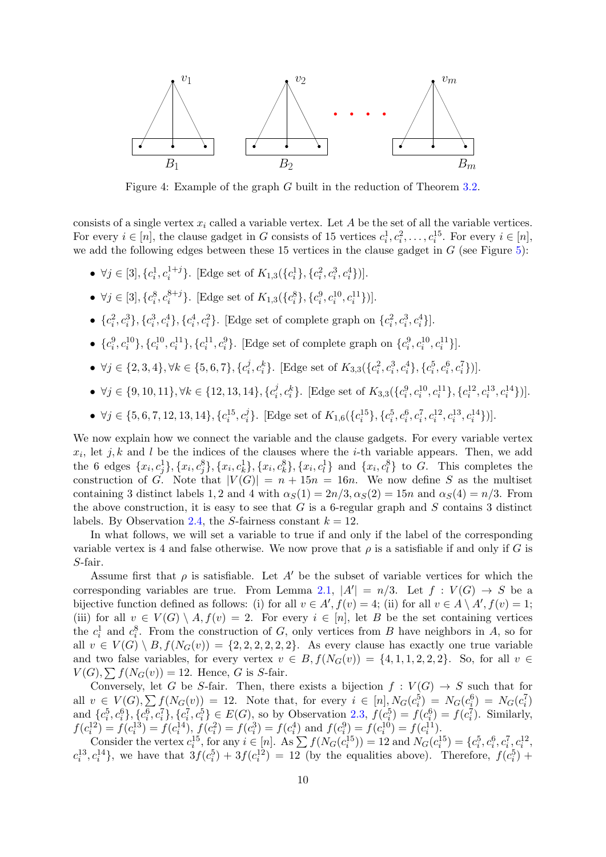<span id="page-10-0"></span>

Figure 4: Example of the graph G built in the reduction of Theorem [3.2.](#page-9-1)

consists of a single vertex  $x_i$  called a variable vertex. Let A be the set of all the variable vertices. For every  $i \in [n]$ , the clause gadget in G consists of 15 vertices  $c_i^1, c_i^2, \ldots, c_i^{15}$ . For every  $i \in [n]$ , we add the following edges between these 15 vertices in the clause gadget in  $G$  (see Figure [5\)](#page-11-1):

- $\forall j \in [3], \{c_i^1, c_i^{1+j}\}$  $\{e_i^{1+j}\}\$ . [Edge set of  $K_{1,3}(\{c_i^1\}, \{c_i^2, c_i^3, c_i^4\})$ ].
- $\forall j \in [3], \{c_i^8, c_i^{8+j}\}$  $\{e_i^{8+j}\}\$ . [Edge set of  $K_{1,3}(\{c_i^8\}, \{c_i^9, c_i^{10}, c_i^{11}\})$ ].
- $\{c_i^2, c_i^3\}, \{c_i^3, c_i^4\}, \{c_i^4, c_i^2\}.$  [Edge set of complete graph on  $\{c_i^2, c_i^3, c_i^4\}$ ].
- $\{c_i^9, c_i^{10}\}, \{c_i^{10}, c_i^{11}\}, \{c_i^{11}, c_i^{9}\}.$  [Edge set of complete graph on  $\{c_i^9, c_i^{10}, c_i^{11}\}.$
- $\forall j \in \{2,3,4\}, \forall k \in \{5,6,7\}, \{c_i^j\}$  $\{c_i^j, c_i^k\}$ . [Edge set of  $K_{3,3}(\{c_i^2, c_i^3, c_i^4\}, \{c_i^5, c_i^6, c_i^7\})$ ].
- $\forall j \in \{9, 10, 11\}, \forall k \in \{12, 13, 14\}, \{c_i^j\}$  $\{c_i^j, c_i^k\}$ . [Edge set of  $K_{3,3}(\{c_i^9, c_i^{10}, c_i^{11}\}, \{c_i^{12}, c_i^{13}, c_i^{14}\})$ ].
- $\forall j \in \{5, 6, 7, 12, 13, 14\}, \{c_i^{15}, c_i^j\}$ <sup>j</sup><sub>i</sub>}. [Edge set of  $K_{1,6}(\lbrace c_i^{15}\rbrace, \lbrace c_i^5, c_i^6, c_i^7, c_i^{12}, c_i^{13}, c_i^{14}\rbrace)].$

We now explain how we connect the variable and the clause gadgets. For every variable vertex  $x_i$ , let j, k and l be the indices of the clauses where the *i*-th variable appears. Then, we add the 6 edges  $\{x_i, c_j^1\}, \{x_i, c_j^8\}, \{x_i, c_k^1\}, \{x_i, c_k^8\}, \{x_i, c_l^1\}$  and  $\{x_i, c_l^8\}$  to G. This completes the construction of G. Note that  $|V(G)| = n + 15n = 16n$ . We now define S as the multiset containing 3 distinct labels 1, 2 and 4 with  $\alpha_S(1) = 2n/3, \alpha_S(2) = 15n$  and  $\alpha_S(4) = n/3$ . From the above construction, it is easy to see that  $G$  is a 6-regular graph and  $S$  contains 3 distinct labels. By Observation [2.4,](#page-7-2) the S-fairness constant  $k = 12$ .

In what follows, we will set a variable to true if and only if the label of the corresponding variable vertex is 4 and false otherwise. We now prove that  $\rho$  is a satisfiable if and only if G is S-fair.

Assume first that  $\rho$  is satisfiable. Let A' be the subset of variable vertices for which the corresponding variables are true. From Lemma [2.1,](#page-6-2)  $|A'| = n/3$ . Let  $f : V(G) \to S$  be a bijective function defined as follows: (i) for all  $v \in A', f(v) = 4$ ; (ii) for all  $v \in A \setminus A', f(v) = 1$ ; (iii) for all  $v \in V(G) \setminus A$ ,  $f(v) = 2$ . For every  $i \in [n]$ , let B be the set containing vertices the  $c_i^1$  and  $c_i^8$ . From the construction of G, only vertices from B have neighbors in A, so for all  $v \in V(G) \setminus B, f(N_G(v)) = \{2, 2, 2, 2, 2, 2\}.$  As every clause has exactly one true variable and two false variables, for every vertex  $v \in B$ ,  $f(N_G(v)) = \{4, 1, 1, 2, 2, 2\}$ . So, for all  $v \in B$  $V(G), \sum f(N_G(v)) = 12.$  Hence, G is S-fair.

Conversely, let G be S-fair. Then, there exists a bijection  $f: V(G) \to S$  such that for all  $v \in V(G), \sum_{i} f(N_G(v)) = 12$ . Note that, for every  $i \in [n], N_G(c_i^5) = N_G(c_i^6) = N_G(c_i^7)$ and  $\{c_i^5, c_i^6\}, \{c_i^7, c_i^7\}, \{c_i^7, c_i^5\} \in E(G)$ , so by Observation [2.3,](#page-7-3)  $f(c_i^5) = f(c_i^6) = f(c_i^7)$ . Similarly,  $f(c_i^{12}) = f(c_i^{13}) = f(c_i^{24}), f(c_i^{2}) = f(c_i^{3}) = f(c_i^{4})$  and  $f(c_i^{9}) = f(c_i^{10}) = f(c_i^{11}).$ 

Consider the vertex  $c_i^{15}$ , for any  $i \in [n]$ . As  $\sum f(N_G(c_i^{15})) = 12$  and  $N_G(c_i^{15}) = \{c_i^5, c_i^6, c_i^7, c_i^{12}, c_i^{12}\}$  $c_i^{13}, c_i^{14}$ , we have that  $3f(c_i^5) + 3f(c_i^{12}) = 12$  (by the equalities above). Therefore,  $f(c_i^5)$  +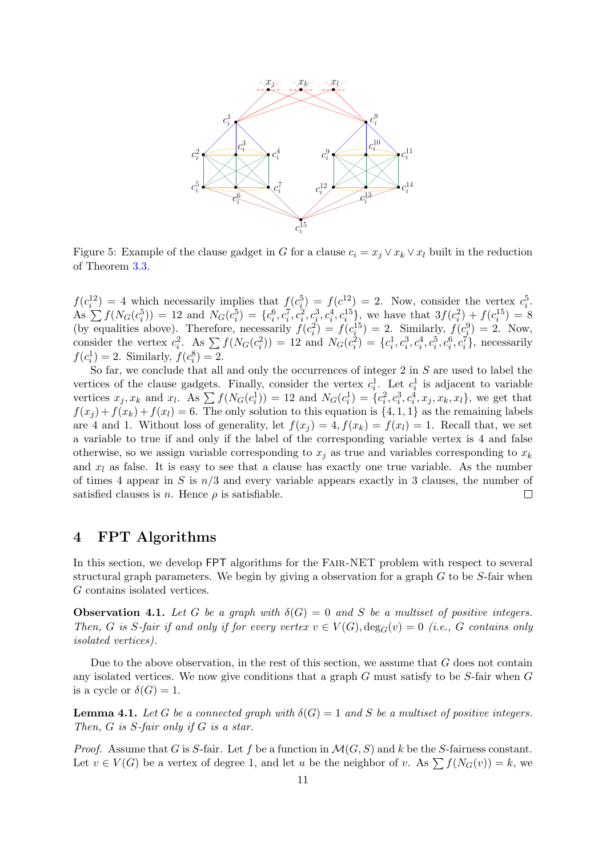<span id="page-11-1"></span>

Figure 5: Example of the clause gadget in G for a clause  $c_i = x_j \vee x_k \vee x_l$  built in the reduction of Theorem [3.3.](#page-9-0)

 $f(c_i^{12}) = 4$  which necessarily implies that  $f(c_i^5) = f(c_{i\cdot}^{12}) = 2$ . Now, consider the vertex  $c_i^5$ . As  $\sum f(N_G(c_i^5)) = 12$  and  $N_G(c_i^5) = \{c_i^6, c_i^7, c_i^2, c_i^3, c_i^4, c_i^{15}\}\$ , we have that  $3f(c_i^2) + f(c_i^{15}) = 8$ (by equalities above). Therefore, necessarily  $f(c_i^2) = f(c_i^{15}) = 2$ . Similarly,  $f(c_i^9) = 2$ . Now, consider the vertex  $c_i^2$ . As  $\sum f(N_G(c_i^2)) = 12$  and  $N_G(c_i^2) = \{c_i^1, c_i^3, c_i^4, c_i^5, c_i^6, c_i^7\}$ , necessarily  $f(c_i^1) = 2$ . Similarly,  $f(c_i^8) = 2$ .

So far, we conclude that all and only the occurrences of integer 2 in S are used to label the vertices of the clause gadgets. Finally, consider the vertex  $c_i^1$ . Let  $c_i^1$  is adjacent to variable vertices  $x_j, x_k$  and  $x_l$ . As  $\sum f(N_G(c_i^1)) = 12$  and  $N_G(c_i^1) = \{c_i^2, c_i^3, c_i^4, x_j, x_k, x_l\}$ , we get that  $f(x_i) + f(x_k) + f(x_l) = 6$ . The only solution to this equation is  $\{4, 1, 1\}$  as the remaining labels are 4 and 1. Without loss of generality, let  $f(x_j) = 4, f(x_k) = f(x_l) = 1$ . Recall that, we set a variable to true if and only if the label of the corresponding variable vertex is 4 and false otherwise, so we assign variable corresponding to  $x_j$  as true and variables corresponding to  $x_k$ and  $x_l$  as false. It is easy to see that a clause has exactly one true variable. As the number of times 4 appear in S is  $n/3$  and every variable appears exactly in 3 clauses, the number of satisfied clauses is *n*. Hence  $\rho$  is satisfiable.  $\Box$ 

# <span id="page-11-0"></span>4 FPT Algorithms

In this section, we develop FPT algorithms for the Fair-NET problem with respect to several structural graph parameters. We begin by giving a observation for a graph  $G$  to be  $S$ -fair when G contains isolated vertices.

**Observation 4.1.** Let G be a graph with  $\delta(G) = 0$  and S be a multiset of positive integers. Then, G is S-fair if and only if for every vertex  $v \in V(G)$ ,  $\deg_G(v) = 0$  (i.e., G contains only isolated vertices).

Due to the above observation, in the rest of this section, we assume that  $G$  does not contain any isolated vertices. We now give conditions that a graph  $G$  must satisfy to be S-fair when  $G$ is a cycle or  $\delta(G) = 1$ .

<span id="page-11-2"></span>**Lemma 4.1.** Let G be a connected graph with  $\delta(G) = 1$  and S be a multiset of positive integers. Then,  $G$  is  $S$ -fair only if  $G$  is a star.

*Proof.* Assume that G is S-fair. Let f be a function in  $\mathcal{M}(G, S)$  and k be the S-fairness constant. Let  $v \in V(G)$  be a vertex of degree 1, and let u be the neighbor of v. As  $\sum f(N_G(v)) = k$ , we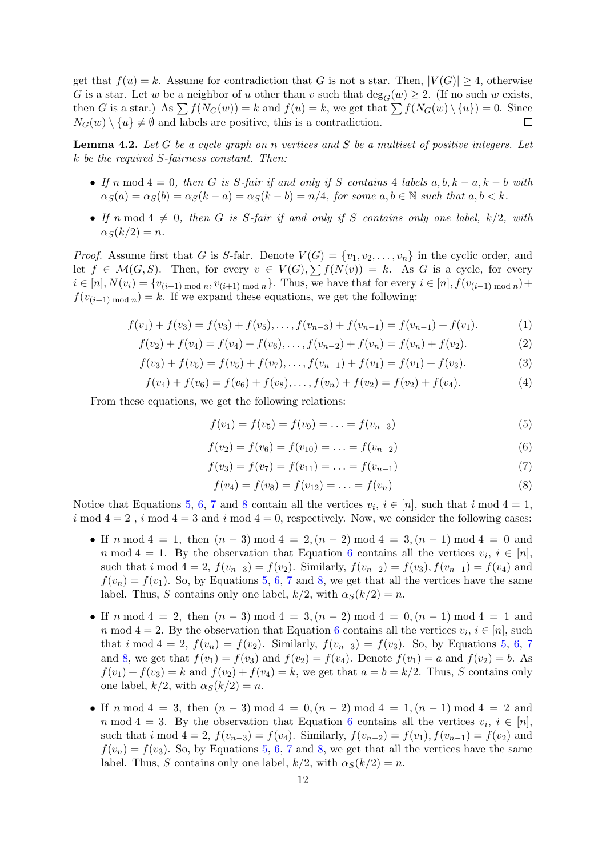get that  $f(u) = k$ . Assume for contradiction that G is not a star. Then,  $|V(G)| \geq 4$ , otherwise G is a star. Let w be a neighbor of u other than v such that  $\deg_G(w) \geq 2$ . (If no such w exists, then G is a star.) As  $\sum f(N_G(w)) = k$  and  $f(u) = k$ , we get that  $\sum f(N_G(w) \setminus \{u\}) = 0$ . Since  $N_G(w) \setminus \{u\} \neq \emptyset$  and labels are positive, this is a contradiction.  $\Box$ 

<span id="page-12-4"></span>**Lemma 4.2.** Let G be a cycle graph on n vertices and S be a multiset of positive integers. Let k be the required S-fairness constant. Then:

- If n mod  $4 = 0$ , then G is S-fair if and only if S contains 4 labels  $a, b, k a, k b$  with  $\alpha_S(a) = \alpha_S(b) = \alpha_S(k-a) = \alpha_S(k-b) = n/4$ , for some  $a, b \in \mathbb{N}$  such that  $a, b < k$ .
- If n mod  $4 \neq 0$ , then G is S-fair if and only if S contains only one label,  $k/2$ , with  $\alpha_S(k/2) = n.$

*Proof.* Assume first that G is S-fair. Denote  $V(G) = \{v_1, v_2, \ldots, v_n\}$  in the cyclic order, and let  $f \in \mathcal{M}(G, S)$ . Then, for every  $v \in V(G), \sum f(N(v)) = k$ . As G is a cycle, for every  $i \in [n], N(v_i) = \{v_{(i-1) \mod n}, v_{(i+1) \mod n}\}.$  Thus, we have that for every  $i \in [n], f(v_{(i-1) \mod n}) +$  $f(v_{(i+1) \mod n}) = k$ . If we expand these equations, we get the following:

$$
f(v_1) + f(v_3) = f(v_3) + f(v_5), \dots, f(v_{n-3}) + f(v_{n-1}) = f(v_{n-1}) + f(v_1).
$$
 (1)

$$
f(v_2) + f(v_4) = f(v_4) + f(v_6), \dots, f(v_{n-2}) + f(v_n) = f(v_n) + f(v_2).
$$
 (2)

$$
f(v_3) + f(v_5) = f(v_5) + f(v_7), \dots, f(v_{n-1}) + f(v_1) = f(v_1) + f(v_3).
$$
\n(3)

$$
f(v_4) + f(v_6) = f(v_6) + f(v_8), \dots, f(v_n) + f(v_2) = f(v_2) + f(v_4).
$$
\n(4)

From these equations, we get the following relations:

<span id="page-12-0"></span>
$$
f(v_1) = f(v_5) = f(v_9) = \ldots = f(v_{n-3})
$$
\n(5)

<span id="page-12-1"></span>
$$
f(v_2) = f(v_6) = f(v_{10}) = \ldots = f(v_{n-2})
$$
\n(6)

<span id="page-12-2"></span>
$$
f(v_3) = f(v_7) = f(v_{11}) = \ldots = f(v_{n-1})
$$
\n(7)

<span id="page-12-3"></span>
$$
f(v_4) = f(v_8) = f(v_{12}) = \ldots = f(v_n)
$$
\n(8)

Notice that Equations [5,](#page-12-0) [6,](#page-12-1) [7](#page-12-2) and [8](#page-12-3) contain all the vertices  $v_i$ ,  $i \in [n]$ , such that i mod  $4 = 1$ , i mod  $4 = 2$ , i mod  $4 = 3$  and i mod  $4 = 0$ , respectively. Now, we consider the following cases:

- If n mod 4 = 1, then  $(n-3)$  mod 4 = 2, $(n-2)$  mod 4 = 3, $(n-1)$  mod 4 = 0 and  $n \mod 4 = 1$ . By the observation that Equation [6](#page-12-1) contains all the vertices  $v_i, i \in [n]$ , such that i mod  $4 = 2$ ,  $f(v_{n-3}) = f(v_2)$ . Similarly,  $f(v_{n-2}) = f(v_3)$ ,  $f(v_{n-1}) = f(v_4)$  and  $f(v_n) = f(v_1)$ . So, by Equations [5,](#page-12-0) [6,](#page-12-1) [7](#page-12-2) and [8,](#page-12-3) we get that all the vertices have the same label. Thus, S contains only one label,  $k/2$ , with  $\alpha_S(k/2) = n$ .
- If n mod  $4 = 2$ , then  $(n 3) \mod 4 = 3, (n 2) \mod 4 = 0, (n 1) \mod 4 = 1$  and n mod 4 = 2. By the observation that Equation [6](#page-12-1) contains all the vertices  $v_i, i \in [n]$ , such that i mod  $4 = 2$ ,  $f(v_n) = f(v_2)$ . Similarly,  $f(v_{n-3}) = f(v_3)$ . So, by Equations [5,](#page-12-0) [6,](#page-12-1) [7](#page-12-2) and [8,](#page-12-3) we get that  $f(v_1) = f(v_3)$  and  $f(v_2) = f(v_4)$ . Denote  $f(v_1) = a$  and  $f(v_2) = b$ . As  $f(v_1) + f(v_3) = k$  and  $f(v_2) + f(v_4) = k$ , we get that  $a = b = k/2$ . Thus, S contains only one label,  $k/2$ , with  $\alpha_S(k/2) = n$ .
- If n mod 4 = 3, then  $(n-3)$  mod 4 = 0, $(n-2)$  mod 4 = 1, $(n-1)$  mod 4 = 2 and  $n \mod 4 = 3$ . By the observation that Equation [6](#page-12-1) contains all the vertices  $v_i, i \in [n]$ , such that i mod  $4 = 2$ ,  $f(v_{n-3}) = f(v_4)$ . Similarly,  $f(v_{n-2}) = f(v_1)$ ,  $f(v_{n-1}) = f(v_2)$  and  $f(v_n) = f(v_3)$ . So, by Equations [5,](#page-12-0) [6,](#page-12-1) [7](#page-12-2) and [8,](#page-12-3) we get that all the vertices have the same label. Thus, S contains only one label,  $k/2$ , with  $\alpha_S(k/2) = n$ .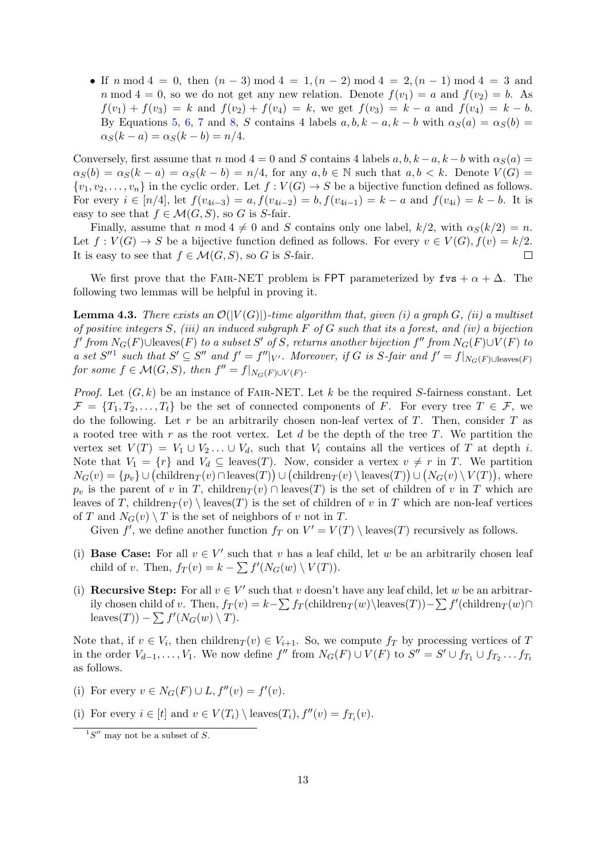• If n mod  $4 = 0$ , then  $(n - 3) \mod 4 = 1, (n - 2) \mod 4 = 2, (n - 1) \mod 4 = 3$  and n mod 4 = 0, so we do not get any new relation. Denote  $f(v_1) = a$  and  $f(v_2) = b$ . As  $f(v_1) + f(v_3) = k$  and  $f(v_2) + f(v_4) = k$ , we get  $f(v_3) = k - a$  and  $f(v_4) = k - b$ . By Equations [5,](#page-12-0) [6,](#page-12-1) [7](#page-12-2) and [8,](#page-12-3) S contains 4 labels  $a, b, k - a, k - b$  with  $\alpha_S(a) = \alpha_S(b)$  $\alpha_S(k-a) = \alpha_S(k-b) = n/4.$ 

Conversely, first assume that n mod  $4 = 0$  and S contains 4 labels  $a, b, k - a, k - b$  with  $\alpha_S(a) =$  $\alpha_S(b) = \alpha_S(k-a) = \alpha_S(k-b) = n/4$ , for any  $a, b \in \mathbb{N}$  such that  $a, b < k$ . Denote  $V(G)$  $\{v_1, v_2, \ldots, v_n\}$  in the cyclic order. Let  $f: V(G) \to S$  be a bijective function defined as follows. For every  $i \in [n/4]$ , let  $f(v_{4i-3}) = a$ ,  $f(v_{4i-2}) = b$ ,  $f(v_{4i-1}) = k - a$  and  $f(v_{4i}) = k - b$ . It is easy to see that  $f \in \mathcal{M}(G, S)$ , so G is S-fair.

Finally, assume that  $n \mod 4 \neq 0$  and S contains only one label,  $k/2$ , with  $\alpha_S(k/2) = n$ . Let  $f: V(G) \to S$  be a bijective function defined as follows. For every  $v \in V(G)$ ,  $f(v) = k/2$ . It is easy to see that  $f \in \mathcal{M}(G, S)$ , so G is S-fair.  $\Box$ 

We first prove that the FAIR-NET problem is FPT parameterized by  $fvs + \alpha + \Delta$ . The following two lemmas will be helpful in proving it.

<span id="page-13-1"></span>**Lemma 4.3.** There exists an  $\mathcal{O}(|V(G)|)$ -time algorithm that, given (i) a graph G, (ii) a multiset of positive integers  $S$ , (iii) an induced subgraph  $F$  of  $G$  such that its a forest, and (iv) a bijection  $f'$  from  $N_G(F) \cup \text{leaves}(F)$  to a subset S' of S, returns another bijection  $f''$  from  $N_G(F) \cup V(F)$  to a set  $S''^1$  $S''^1$  such that  $S' \subseteq S''$  and  $f' = f''|_{V'}$ . Moreover, if G is S-fair and  $f' = f|_{N_G(F) \cup \text{leaves}(F)}$ for some  $f \in \mathcal{M}(G, S)$ , then  $f'' = f|_{N_G(F) \cup V(F)}$ .

*Proof.* Let  $(G, k)$  be an instance of FAIR-NET. Let k be the required S-fairness constant. Let  $\mathcal{F} = \{T_1, T_2, \ldots, T_t\}$  be the set of connected components of F. For every tree  $T \in \mathcal{F}$ , we do the following. Let r be an arbitrarily chosen non-leaf vertex of  $T$ . Then, consider  $T$  as a rooted tree with r as the root vertex. Let  $d$  be the depth of the tree T. We partition the vertex set  $V(T) = V_1 \cup V_2 \ldots \cup V_d$ , such that  $V_i$  contains all the vertices of T at depth i. Note that  $V_1 = \{r\}$  and  $V_d \subseteq \text{leaves}(T)$ . Now, consider a vertex  $v \neq r$  in T. We partition  $N_G(v) = \{p_v\} \cup (\text{children}_T(v) \cap \text{leaves}(T)) \cup (\text{children}_T(v) \setminus \text{leaves}(T)) \cup (N_G(v) \setminus V(T)),$  where  $p_v$  is the parent of v in T, children $T(v) \cap \text{leaves}(T)$  is the set of children of v in T which are leaves of T, children $T(v) \setminus \text{leaves}(T)$  is the set of children of v in T which are non-leaf vertices of T and  $N_G(v) \setminus T$  is the set of neighbors of v not in T.

Given  $f'$ , we define another function  $f_T$  on  $V' = V(T) \setminus \text{leaves}(T)$  recursively as follows.

- (i) Base Case: For all  $v \in V'$  such that v has a leaf child, let w be an arbitrarily chosen leaf child of v. Then,  $f_T(v) = k - \sum f'(N_G(w) \setminus V(T)).$
- (i) **Recursive Step:** For all  $v \in V'$  such that v doesn't have any leaf child, let w be an arbitrarily chosen child of v. Then,  $f_T(v) = k - \sum f_T(\text{children}_T(w) \setminus \text{leaves}(T)) - \sum f'(\text{children}_T(w) \cap$ leaves $(T)$ ) –  $\sum f'(N_G(w) \setminus T)$ .

Note that, if  $v \in V_i$ , then children $T(v) \in V_{i+1}$ . So, we compute  $f_T$  by processing vertices of T in the order  $V_{d-1}, \ldots, V_1$ . We now define  $f''$  from  $N_G(F) \cup V(F)$  to  $S'' = S' \cup f_{T_1} \cup f_{T_2} \ldots f_{T_t}$ as follows.

- (i) For every  $v \in N_G(F) \cup L$ ,  $f''(v) = f'(v)$ .
- (i) For every  $i \in [t]$  and  $v \in V(T_i) \setminus \text{leaves}(T_i)$ ,  $f''(v) = f_{T_i}(v)$ .

<span id="page-13-0"></span> $1S''$  may not be a subset of S.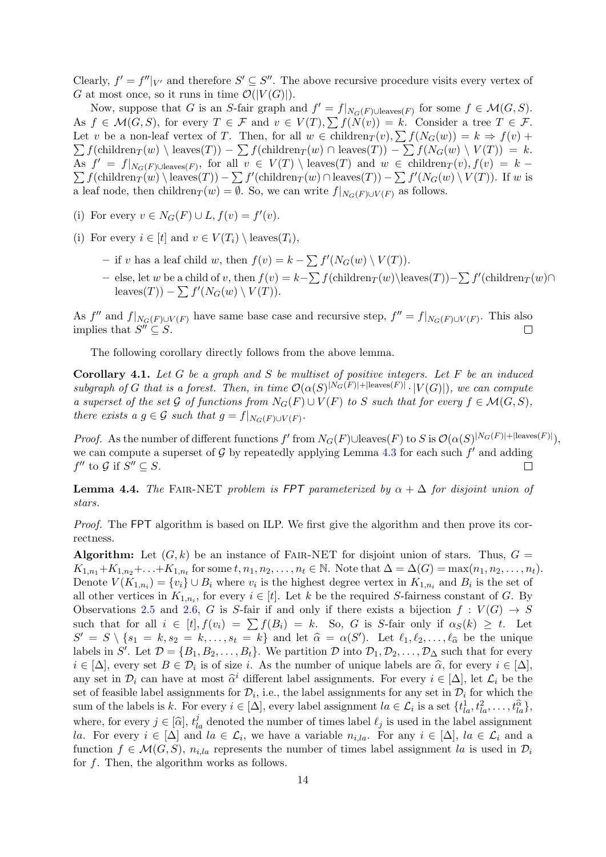Clearly,  $f' = f''|_{V'}$  and therefore  $S' \subseteq S''$ . The above recursive procedure visits every vertex of G at most once, so it runs in time  $\mathcal{O}(|V(G)|)$ .

Now, suppose that G is an S-fair graph and  $f' = f|_{N_G(F) \cup \text{leaves}(F)}$  for some  $f \in \mathcal{M}(G, S)$ . As  $f \in \mathcal{M}(G, S)$ , for every  $T \in \mathcal{F}$  and  $v \in V(T), \sum f(N(v)) = k$ . Consider a tree  $T \in \mathcal{F}$ . Let v be a non-leaf vertex of T. Then, for all  $w \in \text{children}_T(v)$ ,  $\sum f(N_G(w)) = k \Rightarrow f(v) +$  $\sum f(\text{children}_{T}(w) \setminus \text{leaves}(T)) - \sum f(\text{children}_{T}(w) \cap \text{leaves}(T)) - \sum f(N_G(w) \setminus V(T)) = k.$ As  $f' = f|_{N_G(F) \cup \text{leaves}(F)}$ , for all  $v \in V(T) \setminus \text{leaves}(T)$  and  $w \in \text{children}_T(v)$ ,  $f(v) = k \sum f(\text{children}_T(w) \setminus \text{leaves}(T)) - \sum f'(\text{children}_T(w) \cap \text{leaves}(T)) - \sum f'(N_G(w) \setminus V(T)).$  If w is a leaf node, then children $T(w) = \emptyset$ . So, we can write  $f|_{N_G(F) \cup V(F)}$  as follows.

- (i) For every  $v \in N_G(F) \cup L$ ,  $f(v) = f'(v)$ .
- (i) For every  $i \in [t]$  and  $v \in V(T_i) \setminus \text{leaves}(T_i)$ ,
	- − if v has a leaf child w, then  $f(v) = k \sum f'(N_G(w) \setminus V(T))$ .
	- else, let w be a child of v, then  $f(v) = k \sum f(\text{children}_T(w) \setminus \text{leaves}(T)) \sum f'(\text{children}_T(w) \cap$ leaves $(T)$ ) –  $\sum f'(N_G(w) \setminus V(T))$ .

As  $f''$  and  $f|_{N_G(F)\cup V(F)}$  have same base case and recursive step,  $f'' = f|_{N_G(F)\cup V(F)}$ . This also implies that  $S^{\tilde{\prime}\tilde{\prime}}\subseteq S$ .  $\Box$ 

The following corollary directly follows from the above lemma.

<span id="page-14-0"></span>**Corollary 4.1.** Let G be a graph and S be multiset of positive integers. Let F be an induced subgraph of G that is a forest. Then, in time  $\mathcal{O}(\alpha(S)^{|N_G(F)|+|\text{leaves}(F)|} \cdot |V(G)|)$ , we can compute a superset of the set G of functions from  $N_G(F) \cup V(F)$  to S such that for every  $f \in \mathcal{M}(G, S)$ , there exists a  $g \in \mathcal{G}$  such that  $g = f|_{N_G(F) \cup V(F)}$ .

*Proof.* As the number of different functions  $f'$  from  $N_G(F) \cup \text{leaves}(F)$  to S is  $\mathcal{O}(\alpha(S)^{|N_G(F)| + |\text{leaves}(F)|})$ , we can compute a superset of G by repeatedly applying Lemma [4.3](#page-13-1) for each such  $f'$  and adding  $f''$  to  $\mathcal{G}$  if  $S'' \subseteq S$ .  $\Box$ 

<span id="page-14-1"></span>**Lemma 4.4.** The FAIR-NET problem is FPT parameterized by  $\alpha + \Delta$  for disjoint union of stars.

Proof. The FPT algorithm is based on ILP. We first give the algorithm and then prove its correctness.

**Algorithm:** Let  $(G, k)$  be an instance of FAIR-NET for disjoint union of stars. Thus,  $G =$  $K_{1,n_1}+K_{1,n_2}+\ldots+K_{1,n_t}$  for some  $t, n_1, n_2, \ldots, n_t \in \mathbb{N}$ . Note that  $\Delta = \Delta(G) = \max(n_1, n_2, \ldots, n_t)$ . Denote  $V(K_{1,n_i}) = \{v_i\} \cup B_i$  where  $v_i$  is the highest degree vertex in  $K_{1,n_i}$  and  $B_i$  is the set of all other vertices in  $K_{1,n_i}$ , for every  $i \in [t]$ . Let k be the required S-fairness constant of G. By Observations [2.5](#page-7-0) and [2.6,](#page-7-1) G is S-fair if and only if there exists a bijection  $f: V(G) \to S$ such that for all  $i \in [t], f(v_i) = \sum f(B_i) = k$ . So, G is S-fair only if  $\alpha_S(k) \geq t$ . Let  $S' = S \setminus \{s_1 = k, s_2 = k, \ldots, s_t = k\}$  and let  $\hat{\alpha} = \alpha(S')$ . Let  $\ell_1, \ell_2, \ldots, \ell_{\hat{\alpha}}$  be the unique labels in S'. Let  $\mathcal{D} = \{B_1, B_2, \ldots, B_t\}$ . We partition  $\mathcal{D}$  into  $\mathcal{D}_1, \mathcal{D}_2, \ldots, \mathcal{D}_{\Delta}$  such that for every  $i \in [\Delta]$ , every set  $B \in \mathcal{D}_i$  is of size i. As the number of unique labels are  $\hat{\alpha}$ , for every  $i \in [\Delta]$ ,<br>only set in  $\mathcal{D}_i$  can be set most  $\hat{\alpha}^i$  different label assignments. For every  $i \in [\Delta]$ , let  $\mathcal{C}_i$ any set in  $\mathcal{D}_i$  can have at most  $\hat{\alpha}^i$  different label assignments. For every  $i \in [\Delta]$ , let  $\mathcal{L}_i$  be the set of fossible label assignments for  $\mathcal{D}_i$ , i.e., the label assignments for any set in  $\mathcal{D}_i$  f set of feasible label assignments for  $\mathcal{D}_i$ , i.e., the label assignments for any set in  $\mathcal{D}_i$  for which the sum of the labels is k. For every  $i \in [\Delta]$ , every label assignment  $la \in \mathcal{L}_i$  is a set  $\{t_{la}^1, t_{la}^2, \ldots, t_{la}^{\widehat{\alpha}}\}$ , where, for every  $j \in [\hat{\alpha}], t_{la}^j$  denoted the number of times label  $\ell_j$  is used in the label assignment  $l_{\alpha}$ . For every  $i \in [\Lambda]$  and  $l_{\alpha} \in \mathcal{L}$  and a la. For every  $i \in [\Delta]$  and  $la \in \mathcal{L}_i$ , we have a variable  $n_{i,la}$ . For any  $i \in [\Delta]$ ,  $la \in \mathcal{L}_i$  and a function  $f \in \mathcal{M}(G, S)$ ,  $n_{i, la}$  represents the number of times label assignment la is used in  $\mathcal{D}_i$ for f. Then, the algorithm works as follows.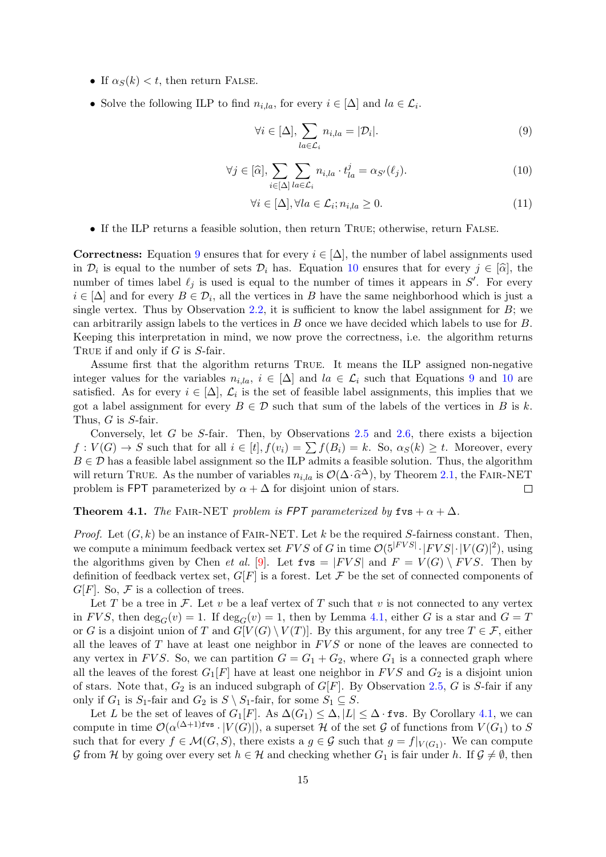- <span id="page-15-3"></span>• If  $\alpha_S(k) < t$ , then return FALSE.
- Solve the following ILP to find  $n_{i, la}$ , for every  $i \in [\Delta]$  and  $la \in \mathcal{L}_i$ .

<span id="page-15-1"></span>
$$
\forall i \in [\Delta], \sum_{la \in \mathcal{L}_i} n_{i,la} = |\mathcal{D}_i|.
$$
\n(9)

<span id="page-15-2"></span>
$$
\forall j \in [\widehat{\alpha}], \sum_{i \in [\Delta]} \sum_{la \in \mathcal{L}_i} n_{i,la} \cdot t_{la}^j = \alpha_{S'}(\ell_j). \tag{10}
$$

$$
\forall i \in [\Delta], \forall la \in \mathcal{L}_i; n_{i,la} \ge 0.
$$
\n(11)

• If the ILP returns a feasible solution, then return True; otherwise, return False.

**Correctness:** Equation [9](#page-15-1) ensures that for every  $i \in [\Delta]$ , the number of label assignments used in  $\mathcal{D}_i$  is equal to the number of sets  $\mathcal{D}_i$  has. Equation [10](#page-15-2) ensures that for every  $j \in [\hat{\alpha}]$ , the number of times it appears in  $S'$ . For every number of times label  $\ell_j$  is used is equal to the number of times it appears in S'. For every  $i \in [\Delta]$  and for every  $B \in \mathcal{D}_i$ , all the vertices in B have the same neighborhood which is just a single vertex. Thus by Observation [2.2,](#page-7-4) it is sufficient to know the label assignment for  $B$ ; we can arbitrarily assign labels to the vertices in B once we have decided which labels to use for B. Keeping this interpretation in mind, we now prove the correctness, i.e. the algorithm returns TRUE if and only if  $G$  is  $S$ -fair.

Assume first that the algorithm returns True. It means the ILP assigned non-negative integer values for the variables  $n_{i,la}$ ,  $i \in [\Delta]$  and  $la \in \mathcal{L}_i$  such that Equations [9](#page-15-1) and [10](#page-15-2) are satisfied. As for every  $i \in [\Delta]$ ,  $\mathcal{L}_i$  is the set of feasible label assignments, this implies that we got a label assignment for every  $B \in \mathcal{D}$  such that sum of the labels of the vertices in B is k. Thus, G is S-fair.

Conversely, let  $G$  be  $S$ -fair. Then, by Observations [2.5](#page-7-0) and [2.6,](#page-7-1) there exists a bijection  $f: V(G) \to S$  such that for all  $i \in [t], f(v_i) = \sum f(B_i) = k$ . So,  $\alpha_S(k) \geq t$ . Moreover, every  $B \in \mathcal{D}$  has a feasible label assignment so the ILP admits a feasible solution. Thus, the algorithm will return TRUE. As the number of variables  $n_{i,la}$  is  $\mathcal{O}(\Delta \cdot \hat{\alpha}^{\Delta})$ , by Theorem [2.1,](#page-7-5) the FAIR-NET problem is FPT parameterized by  $\alpha + \Delta$  for disjoint union of stars.  $\Box$ 

<span id="page-15-0"></span>**Theorem 4.1.** The FAIR-NET problem is FPT parameterized by  $fvs + \alpha + \Delta$ .

*Proof.* Let  $(G, k)$  be an instance of FAIR-NET. Let k be the required S-fairness constant. Then, we compute a minimum feedback vertex set  $FVS$  of G in time  $\mathcal{O}(5^{|FVS|} \cdot |FVS| \cdot |V(G)|^2)$ , using the algorithms given by Chen *et al.* [\[9\]](#page-19-12). Let  $fvs = |FVS|$  and  $F = V(G) \setminus FVS$ . Then by definition of feedback vertex set,  $G[F]$  is a forest. Let F be the set of connected components of  $G[F]$ . So, F is a collection of trees.

Let T be a tree in  $\mathcal F$ . Let v be a leaf vertex of T such that v is not connected to any vertex in FVS, then  $\deg_G(v) = 1$ . If  $\deg_G(v) = 1$ , then by Lemma [4.1,](#page-11-2) either G is a star and  $G = T$ or G is a disjoint union of T and  $G[V(G) \setminus V(T)]$ . By this argument, for any tree  $T \in \mathcal{F}$ , either all the leaves of  $T$  have at least one neighbor in  $FVS$  or none of the leaves are connected to any vertex in FVS. So, we can partition  $G = G_1 + G_2$ , where  $G_1$  is a connected graph where all the leaves of the forest  $G_1[F]$  have at least one neighbor in  $FVS$  and  $G_2$  is a disjoint union of stars. Note that,  $G_2$  is an induced subgraph of  $G[F]$ . By Observation [2.5,](#page-7-0) G is S-fair if any only if  $G_1$  is  $S_1$ -fair and  $G_2$  is  $S \setminus S_1$ -fair, for some  $S_1 \subseteq S$ .

Let L be the set of leaves of  $G_1[F]$ . As  $\Delta(G_1) \leq \Delta$ ,  $|L| \leq \Delta \cdot$  fvs. By Corollary [4.1,](#page-14-0) we can compute in time  $\mathcal{O}(\alpha^{(\Delta+1)fvs}\cdot |V(G)|)$ , a superset H of the set G of functions from  $V(G_1)$  to S such that for every  $f \in \mathcal{M}(G, S)$ , there exists a  $g \in \mathcal{G}$  such that  $g = f|_{V(G_1)}$ . We can compute G from H by going over every set  $h \in \mathcal{H}$  and checking whether  $G_1$  is fair under h. If  $\mathcal{G} \neq \emptyset$ , then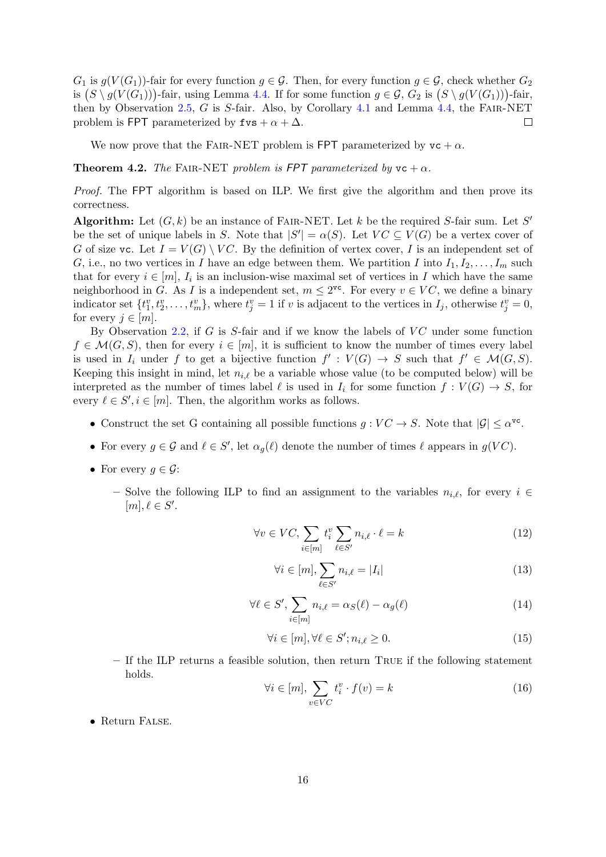$G_1$  is  $g(V(G_1))$ -fair for every function  $g \in \mathcal{G}$ . Then, for every function  $g \in \mathcal{G}$ , check whether  $G_2$ is  $(S \setminus g(V(G_1)))$ -fair, using Lemma [4.4.](#page-14-1) If for some function  $g \in \mathcal{G}$ ,  $G_2$  is  $(S \setminus g(V(G_1)))$ -fair, then by Observation [2.5,](#page-7-0) G is S-fair. Also, by Corollary [4.1](#page-14-0) and Lemma [4.4,](#page-14-1) the Fair-NET problem is FPT parameterized by  $fvs + \alpha + \Delta$ .  $\Box$ 

We now prove that the FAIR-NET problem is FPT parameterized by  $vc + \alpha$ .

<span id="page-16-0"></span>**Theorem 4.2.** The FAIR-NET problem is FPT parameterized by  $vc + \alpha$ .

Proof. The FPT algorithm is based on ILP. We first give the algorithm and then prove its correctness.

Algorithm: Let  $(G, k)$  be an instance of FAIR-NET. Let k be the required S-fair sum. Let S' be the set of unique labels in S. Note that  $|S'| = \alpha(S)$ . Let  $VC \subseteq V(G)$  be a vertex cover of G of size vc. Let  $I = V(G) \setminus V\mathbb{C}$ . By the definition of vertex cover, I is an independent set of G, i.e., no two vertices in I have an edge between them. We partition I into  $I_1, I_2, \ldots, I_m$  such that for every  $i \in [m], I_i$  is an inclusion-wise maximal set of vertices in I which have the same neighborhood in G. As I is a independent set,  $m \leq 2^{\nu c}$ . For every  $v \in VC$ , we define a binary indicator set  $\{t_1^v, t_2^v, \ldots, t_m^v\}$ , where  $t_j^v = 1$  if v is adjacent to the vertices in  $I_j$ , otherwise  $t_j^v = 0$ , for every  $j \in [m]$ .

By Observation [2.2,](#page-7-4) if  $G$  is S-fair and if we know the labels of  $VC$  under some function  $f \in \mathcal{M}(G, S)$ , then for every  $i \in [m]$ , it is sufficient to know the number of times every label is used in  $I_i$  under f to get a bijective function  $f' : V(G) \to S$  such that  $f' \in \mathcal{M}(G, S)$ . Keeping this insight in mind, let  $n_{i,\ell}$  be a variable whose value (to be computed below) will be interpreted as the number of times label  $\ell$  is used in  $I_i$  for some function  $f : V(G) \to S$ , for every  $\ell \in S', i \in [m]$ . Then, the algorithm works as follows.

- Construct the set G containing all possible functions  $g: VC \to S$ . Note that  $|\mathcal{G}| \leq \alpha^{\text{vc}}$ .
- For every  $g \in \mathcal{G}$  and  $\ell \in S'$ , let  $\alpha_g(\ell)$  denote the number of times  $\ell$  appears in  $g(VC)$ .
- For every  $g \in \mathcal{G}$ :
	- Solve the following ILP to find an assignment to the variables  $n_{i,\ell}$ , for every  $i \in$  $[m], \ell \in S'.$

<span id="page-16-1"></span>
$$
\forall v \in VC, \sum_{i \in [m]} t_i^v \sum_{\ell \in S'} n_{i,\ell} \cdot \ell = k \tag{12}
$$

<span id="page-16-2"></span>
$$
\forall i \in [m], \sum_{\ell \in S'} n_{i,\ell} = |I_i| \tag{13}
$$

<span id="page-16-3"></span>
$$
\forall \ell \in S', \sum_{i \in [m]} n_{i,\ell} = \alpha_S(\ell) - \alpha_g(\ell)
$$
\n(14)

$$
\forall i \in [m], \forall \ell \in S'; n_{i,\ell} \ge 0. \tag{15}
$$

– If the ILP returns a feasible solution, then return True if the following statement holds.

<span id="page-16-4"></span>
$$
\forall i \in [m], \sum_{v \in VC} t_i^v \cdot f(v) = k \tag{16}
$$

• Return False.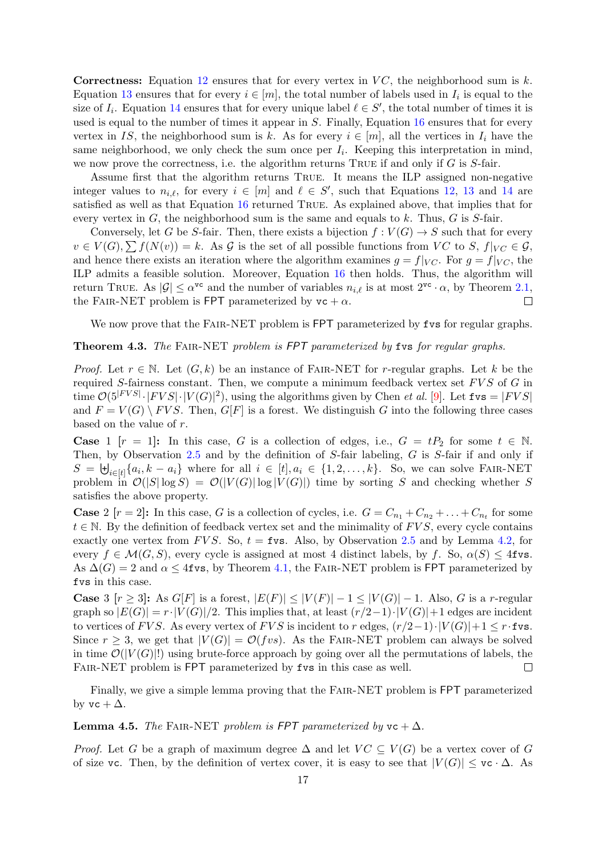<span id="page-17-1"></span>**Correctness:** Equation [12](#page-16-1) ensures that for every vertex in  $VC$ , the neighborhood sum is k. Equation [13](#page-16-2) ensures that for every  $i \in [m]$ , the total number of labels used in  $I_i$  is equal to the size of  $I_i$ . Equation [14](#page-16-3) ensures that for every unique label  $\ell \in S'$ , the total number of times it is used is equal to the number of times it appear in S. Finally, Equation [16](#page-16-4) ensures that for every vertex in IS, the neighborhood sum is k. As for every  $i \in [m]$ , all the vertices in  $I_i$  have the same neighborhood, we only check the sum once per  $I_i$ . Keeping this interpretation in mind, we now prove the correctness, i.e. the algorithm returns TRUE if and only if  $G$  is  $S$ -fair.

Assume first that the algorithm returns True. It means the ILP assigned non-negative integer values to  $n_{i,\ell}$ , for every  $i \in [m]$  and  $\ell \in S'$ , such that Equations [12,](#page-16-1) [13](#page-16-2) and [14](#page-16-3) are satisfied as well as that Equation [16](#page-16-4) returned True. As explained above, that implies that for every vertex in  $G$ , the neighborhood sum is the same and equals to k. Thus,  $G$  is  $S$ -fair.

Conversely, let G be S-fair. Then, there exists a bijection  $f: V(G) \to S$  such that for every  $v \in V(G), \sum f(N(v)) = k$ . As G is the set of all possible functions from VC to S,  $f|_{VC} \in \mathcal{G}$ , and hence there exists an iteration where the algorithm examines  $g = f|_{VC}$ . For  $g = f|_{VC}$ , the ILP admits a feasible solution. Moreover, Equation [16](#page-16-4) then holds. Thus, the algorithm will return TRUE. As  $|\mathcal{G}| \leq \alpha^{\text{vc}}$  and the number of variables  $n_{i,\ell}$  is at most  $2^{\text{vc}} \cdot \alpha$ , by Theorem [2.1,](#page-7-5) the FAIR-NET problem is FPT parameterized by  $vc + \alpha$ .  $\Box$ 

We now prove that the FAIR-NET problem is FPT parameterized by fvs for regular graphs.

#### <span id="page-17-0"></span>Theorem 4.3. The FAIR-NET problem is FPT parameterized by fvs for regular graphs.

*Proof.* Let  $r \in \mathbb{N}$ . Let  $(G, k)$  be an instance of FAIR-NET for r-regular graphs. Let k be the required S-fairness constant. Then, we compute a minimum feedback vertex set  $FVS$  of G in time  $\mathcal{O}(5^{|FVS|} \cdot |FVS| \cdot |V(G)|^2)$ , using the algorithms given by Chen *et al.* [\[9\]](#page-19-12). Let fvs =  $|FVS|$ and  $F = V(G) \setminus FVS$ . Then,  $G[F]$  is a forest. We distinguish G into the following three cases based on the value of r.

**Case** 1 [ $r = 1$ ]: In this case, G is a collection of edges, i.e.,  $G = tP_2$  for some  $t \in \mathbb{N}$ . Then, by Observation [2.5](#page-7-0) and by the definition of S-fair labeling, G is S-fair if and only if  $S = \biguplus_{i \in [t]} \{a_i, k - a_i\}$  where for all  $i \in [t], a_i \in \{1, 2, \ldots, k\}$ . So, we can solve FAIR-NET problem in  $\mathcal{O}(|S|\log S) = \mathcal{O}(|V(G)|\log |V(G)|)$  time by sorting S and checking whether S satisfies the above property.

**Case** 2  $[r = 2]$ : In this case, G is a collection of cycles, i.e.  $G = C_{n_1} + C_{n_2} + \ldots + C_{n_t}$  for some  $t \in \mathbb{N}$ . By the definition of feedback vertex set and the minimality of  $FVS$ , every cycle contains exactly one vertex from FVS. So,  $t =$  fvs. Also, by Observation [2.5](#page-7-0) and by Lemma [4.2,](#page-12-4) for every  $f \in \mathcal{M}(G, S)$ , every cycle is assigned at most 4 distinct labels, by f. So,  $\alpha(S) \leq 4$  fvs. As  $\Delta(G) = 2$  and  $\alpha \leq 4$  fvs, by Theorem [4.1,](#page-15-0) the FAIR-NET problem is FPT parameterized by fvs in this case.

**Case** 3  $[r \geq 3]$ : As  $G[F]$  is a forest,  $|E(F)| \leq |V(F)| - 1 \leq |V(G)| - 1$ . Also, G is a r-regular graph so  $|E(G)| = r \cdot |V(G)|/2$ . This implies that, at least  $(r/2-1) \cdot |V(G)|+1$  edges are incident to vertices of FVS. As every vertex of FVS is incident to r edges,  $(r/2-1)\cdot |V(G)|+1 \leq r \cdot$  fvs. Since  $r \geq 3$ , we get that  $|V(G)| = \mathcal{O}(fvs)$ . As the FAIR-NET problem can always be solved in time  $\mathcal{O}(|V(G)|!)$  using brute-force approach by going over all the permutations of labels, the FAIR-NET problem is FPT parameterized by fvs in this case as well.  $\Box$ 

Finally, we give a simple lemma proving that the Fair-NET problem is FPT parameterized by  $vc + \Delta$ .

**Lemma 4.5.** The FAIR-NET problem is FPT parameterized by  $vc + \Delta$ .

*Proof.* Let G be a graph of maximum degree  $\Delta$  and let  $VC \subseteq V(G)$  be a vertex cover of G of size vc. Then, by the definition of vertex cover, it is easy to see that  $|V(G)| \leq \nu c \cdot \Delta$ . As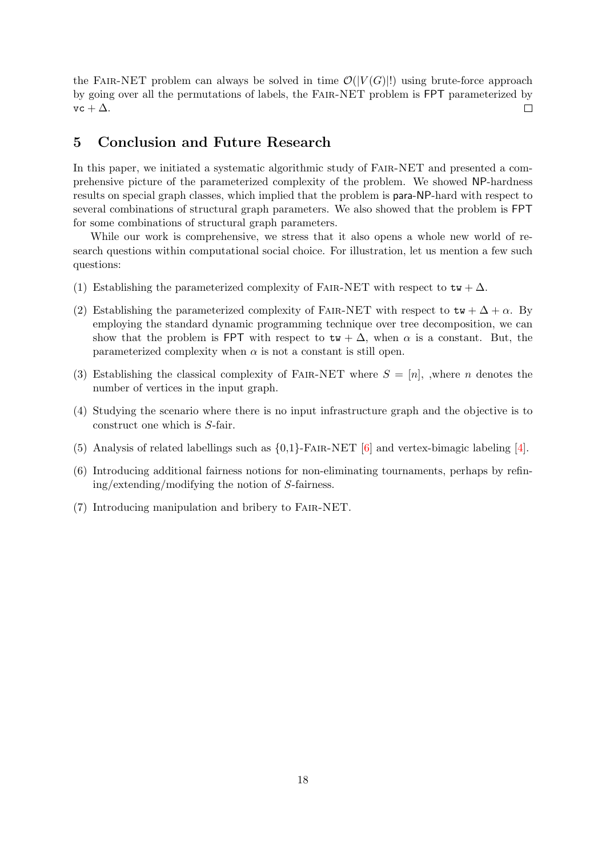<span id="page-18-0"></span>the FAIR-NET problem can always be solved in time  $\mathcal{O}(|V(G)|!)$  using brute-force approach by going over all the permutations of labels, the Fair-NET problem is FPT parameterized by  $vc + \Delta$ .  $\Box$ 

# 5 Conclusion and Future Research

In this paper, we initiated a systematic algorithmic study of Fair-NET and presented a comprehensive picture of the parameterized complexity of the problem. We showed NP-hardness results on special graph classes, which implied that the problem is para-NP-hard with respect to several combinations of structural graph parameters. We also showed that the problem is FPT for some combinations of structural graph parameters.

While our work is comprehensive, we stress that it also opens a whole new world of research questions within computational social choice. For illustration, let us mention a few such questions:

- (1) Establishing the parameterized complexity of FAIR-NET with respect to  $t w + \Delta$ .
- (2) Establishing the parameterized complexity of FAIR-NET with respect to  $\mathbf{tw} + \Delta + \alpha$ . By employing the standard dynamic programming technique over tree decomposition, we can show that the problem is FPT with respect to  $tw + \Delta$ , when  $\alpha$  is a constant. But, the parameterized complexity when  $\alpha$  is not a constant is still open.
- (3) Establishing the classical complexity of FAIR-NET where  $S = [n]$ , where n denotes the number of vertices in the input graph.
- (4) Studying the scenario where there is no input infrastructure graph and the objective is to construct one which is S-fair.
- (5) Analysis of related labellings such as  $\{0,1\}$ -FAIR-NET [\[6\]](#page-19-13) and vertex-bimagic labeling [\[4\]](#page-19-14).
- (6) Introducing additional fairness notions for non-eliminating tournaments, perhaps by refining/extending/modifying the notion of S-fairness.
- (7) Introducing manipulation and bribery to Fair-NET.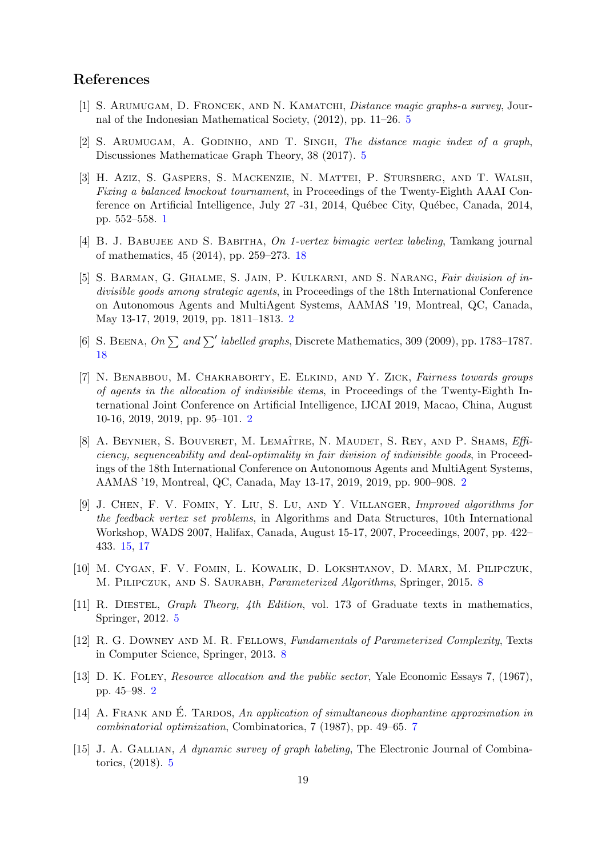# References

- <span id="page-19-5"></span>[1] S. Arumugam, D. Froncek, and N. Kamatchi, Distance magic graphs-a survey, Journal of the Indonesian Mathematical Society, (2012), pp. 11–26. [5](#page-5-1)
- <span id="page-19-6"></span>[2] S. Arumugam, A. Godinho, and T. Singh, The distance magic index of a graph, Discussiones Mathematicae Graph Theory, 38 (2017). [5](#page-5-1)
- <span id="page-19-0"></span>[3] H. Aziz, S. Gaspers, S. Mackenzie, N. Mattei, P. Stursberg, and T. Walsh, Fixing a balanced knockout tournament, in Proceedings of the Twenty-Eighth AAAI Conference on Artificial Intelligence, July 27 -31, 2014, Québec City, Québec, Canada, 2014, pp. 552–558. [1](#page-0-0)
- <span id="page-19-14"></span>[4] B. J. Babujee and S. Babitha, On 1-vertex bimagic vertex labeling, Tamkang journal of mathematics, 45 (2014), pp. 259–273. [18](#page-18-0)
- <span id="page-19-2"></span>[5] S. Barman, G. Ghalme, S. Jain, P. Kulkarni, and S. Narang, Fair division of indivisible goods among strategic agents, in Proceedings of the 18th International Conference on Autonomous Agents and MultiAgent Systems, AAMAS '19, Montreal, QC, Canada, May 13-17, 2019, 2019, pp. 1811–1813. [2](#page-2-1)
- <span id="page-19-13"></span>[6] S. BEENA, On  $\sum$  and  $\sum'$  labelled graphs, Discrete Mathematics, 309 (2009), pp. 1783–1787. [18](#page-18-0)
- <span id="page-19-3"></span>[7] N. Benabbou, M. Chakraborty, E. Elkind, and Y. Zick, Fairness towards groups of agents in the allocation of indivisible items, in Proceedings of the Twenty-Eighth International Joint Conference on Artificial Intelligence, IJCAI 2019, Macao, China, August 10-16, 2019, 2019, pp. 95–101. [2](#page-2-1)
- <span id="page-19-4"></span>[8] A. Beynier, S. Bouveret, M. Lemaˆıtre, N. Maudet, S. Rey, and P. Shams, Efficiency, sequenceability and deal-optimality in fair division of indivisible goods, in Proceedings of the 18th International Conference on Autonomous Agents and MultiAgent Systems, AAMAS '19, Montreal, QC, Canada, May 13-17, 2019, 2019, pp. 900–908. [2](#page-2-1)
- <span id="page-19-12"></span>[9] J. Chen, F. V. Fomin, Y. Liu, S. Lu, and Y. Villanger, Improved algorithms for the feedback vertex set problems, in Algorithms and Data Structures, 10th International Workshop, WADS 2007, Halifax, Canada, August 15-17, 2007, Proceedings, 2007, pp. 422– 433. [15,](#page-15-3) [17](#page-17-1)
- <span id="page-19-11"></span>[10] M. Cygan, F. V. Fomin, L. Kowalik, D. Lokshtanov, D. Marx, M. Pilipczuk, M. Pilipczuk, and S. Saurabh, Parameterized Algorithms, Springer, 2015. [8](#page-8-1)
- <span id="page-19-8"></span>[11] R. Diestel, Graph Theory, 4th Edition, vol. 173 of Graduate texts in mathematics, Springer, 2012. [5](#page-5-1)
- <span id="page-19-10"></span>[12] R. G. Downey and M. R. Fellows, Fundamentals of Parameterized Complexity, Texts in Computer Science, Springer, 2013. [8](#page-8-1)
- <span id="page-19-1"></span>[13] D. K. FOLEY, Resource allocation and the public sector, Yale Economic Essays 7, (1967), pp. 45–98. [2](#page-2-1)
- <span id="page-19-9"></span>[14] A. FRANK AND É. TARDOS, An application of simultaneous diophantine approximation in combinatorial optimization, Combinatorica, 7 (1987), pp. 49–65. [7](#page-7-6)
- <span id="page-19-7"></span>[15] J. A. GALLIAN, A dynamic survey of graph labeling, The Electronic Journal of Combinatorics, (2018). [5](#page-5-1)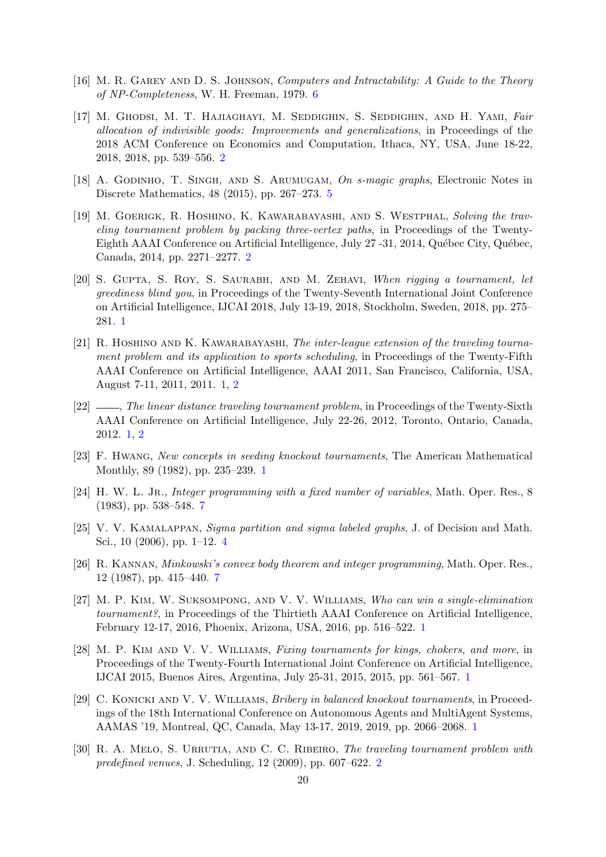- <span id="page-20-12"></span>[16] M. R. Garey and D. S. Johnson, Computers and Intractability: A Guide to the Theory of NP-Completeness, W. H. Freeman, 1979. [6](#page-6-3)
- <span id="page-20-9"></span>[17] M. Ghodsi, M. T. Hajiaghayi, M. Seddighin, S. Seddighin, and H. Yami, Fair allocation of indivisible goods: Improvements and generalizations, in Proceedings of the 2018 ACM Conference on Economics and Computation, Ithaca, NY, USA, June 18-22, 2018, 2018, pp. 539–556. [2](#page-2-1)
- <span id="page-20-11"></span>[18] A. GODINHO, T. SINGH, AND S. ARUMUGAM, On s-magic graphs, Electronic Notes in Discrete Mathematics, 48 (2015), pp. 267–273. [5](#page-5-1)
- <span id="page-20-7"></span>[19] M. Goerigk, R. Hoshino, K. Kawarabayashi, and S. Westphal, Solving the traveling tournament problem by packing three-vertex paths, in Proceedings of the Twenty-Eighth AAAI Conference on Artificial Intelligence, July 27 -31, 2014, Québec City, Québec, Canada, 2014, pp. 2271–2277. [2](#page-2-1)
- <span id="page-20-3"></span>[20] S. GUPTA, S. ROY, S. SAURABH, AND M. ZEHAVI, When rigging a tournament, let greediness blind you, in Proceedings of the Twenty-Seventh International Joint Conference on Artificial Intelligence, IJCAI 2018, July 13-19, 2018, Stockholm, Sweden, 2018, pp. 275– 281. [1](#page-0-0)
- <span id="page-20-0"></span>[21] R. HOSHINO AND K. KAWARABAYASHI, The inter-league extension of the traveling tournament problem and its application to sports scheduling, in Proceedings of the Twenty-Fifth AAAI Conference on Artificial Intelligence, AAAI 2011, San Francisco, California, USA, August 7-11, 2011, 2011. [1,](#page-0-0) [2](#page-2-1)
- <span id="page-20-1"></span>[22] , The linear distance traveling tournament problem, in Proceedings of the Twenty-Sixth AAAI Conference on Artificial Intelligence, July 22-26, 2012, Toronto, Ontario, Canada, 2012. [1,](#page-0-0) [2](#page-2-1)
- <span id="page-20-2"></span>[23] F. Hwang, New concepts in seeding knockout tournaments, The American Mathematical Monthly, 89 (1982), pp. 235–239. [1](#page-0-0)
- <span id="page-20-14"></span>[24] H. W. L. JR., Integer programming with a fixed number of variables, Math. Oper. Res., 8 (1983), pp. 538–548. [7](#page-7-6)
- <span id="page-20-10"></span>[25] V. V. Kamalappan, Sigma partition and sigma labeled graphs, J. of Decision and Math. Sci., 10 (2006), pp. 1–12. [4](#page-4-2)
- <span id="page-20-13"></span>[26] R. Kannan, Minkowski's convex body theorem and integer programming, Math. Oper. Res., 12 (1987), pp. 415–440. [7](#page-7-6)
- <span id="page-20-4"></span>[27] M. P. Kim, W. Suksompong, and V. V. Williams, Who can win a single-elimination tournament?, in Proceedings of the Thirtieth AAAI Conference on Artificial Intelligence, February 12-17, 2016, Phoenix, Arizona, USA, 2016, pp. 516–522. [1](#page-0-0)
- <span id="page-20-5"></span>[28] M. P. Kim and V. V. Williams, Fixing tournaments for kings, chokers, and more, in Proceedings of the Twenty-Fourth International Joint Conference on Artificial Intelligence, IJCAI 2015, Buenos Aires, Argentina, July 25-31, 2015, 2015, pp. 561–567. [1](#page-0-0)
- <span id="page-20-6"></span>[29] C. Konicki and V. V. Williams, Bribery in balanced knockout tournaments, in Proceedings of the 18th International Conference on Autonomous Agents and MultiAgent Systems, AAMAS '19, Montreal, QC, Canada, May 13-17, 2019, 2019, pp. 2066–2068. [1](#page-0-0)
- <span id="page-20-8"></span>[30] R. A. MELO, S. URRUTIA, AND C. C. RIBEIRO, The traveling tournament problem with predefined venues, J. Scheduling, 12 (2009), pp. 607–622. [2](#page-2-1)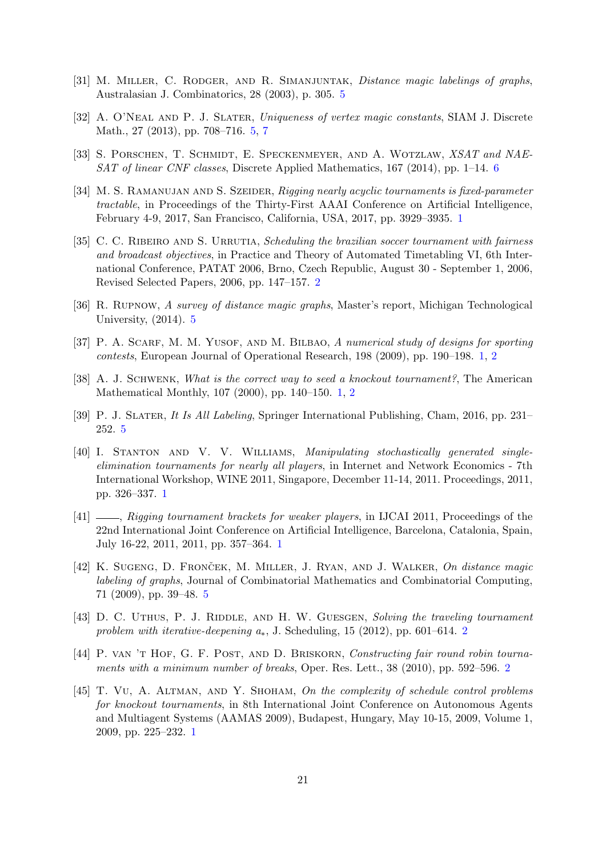- <span id="page-21-9"></span>[31] M. MILLER, C. RODGER, AND R. SIMANJUNTAK, *Distance magic labelings of graphs*, Australasian J. Combinatorics, 28 (2003), p. 305. [5](#page-5-1)
- <span id="page-21-12"></span>[32] A. O'NEAL AND P. J. SLATER, Uniqueness of vertex magic constants, SIAM J. Discrete Math., 27 (2013), pp. 708–716. [5,](#page-5-1) [7](#page-7-6)
- <span id="page-21-14"></span>[33] S. PORSCHEN, T. SCHMIDT, E. SPECKENMEYER, AND A. WOTZLAW, XSAT and NAE-SAT of linear CNF classes, Discrete Applied Mathematics, 167 (2014), pp. 1–14. [6](#page-6-3)
- <span id="page-21-2"></span>[34] M. S. Ramanujan and S. Szeider, Rigging nearly acyclic tournaments is fixed-parameter tractable, in Proceedings of the Thirty-First AAAI Conference on Artificial Intelligence, February 4-9, 2017, San Francisco, California, USA, 2017, pp. 3929–3935. [1](#page-0-0)
- <span id="page-21-7"></span>[35] C. C. RIBEIRO AND S. URRUTIA, Scheduling the brazilian soccer tournament with fairness and broadcast objectives, in Practice and Theory of Automated Timetabling VI, 6th International Conference, PATAT 2006, Brno, Czech Republic, August 30 - September 1, 2006, Revised Selected Papers, 2006, pp. 147–157. [2](#page-2-1)
- <span id="page-21-11"></span>[36] R. Rupnow, A survey of distance magic graphs, Master's report, Michigan Technological University, (2014). [5](#page-5-1)
- <span id="page-21-5"></span>[37] P. A. SCARF, M. M. YUSOF, AND M. BILBAO, A numerical study of designs for sporting contests, European Journal of Operational Research, 198 (2009), pp. 190–198. [1,](#page-0-0) [2](#page-2-1)
- <span id="page-21-0"></span>[38] A. J. SCHWENK, What is the correct way to seed a knockout tournament?, The American Mathematical Monthly, 107 (2000), pp. 140–150. [1,](#page-0-0) [2](#page-2-1)
- <span id="page-21-13"></span>[39] P. J. Slater, It Is All Labeling, Springer International Publishing, Cham, 2016, pp. 231– 252. [5](#page-5-1)
- <span id="page-21-3"></span>[40] I. Stanton and V. V. Williams, Manipulating stochastically generated singleelimination tournaments for nearly all players, in Internet and Network Economics - 7th International Workshop, WINE 2011, Singapore, December 11-14, 2011. Proceedings, 2011, pp. 326–337. [1](#page-0-0)
- <span id="page-21-4"></span>[41]  $\_\_\_\_\$ n, Rigging tournament brackets for weaker players, in IJCAI 2011, Proceedings of the 22nd International Joint Conference on Artificial Intelligence, Barcelona, Catalonia, Spain, July 16-22, 2011, 2011, pp. 357–364. [1](#page-0-0)
- <span id="page-21-10"></span>[42] K. SUGENG, D. FRONCEK, M. MILLER, J. RYAN, AND J. WALKER, On distance magic labeling of graphs, Journal of Combinatorial Mathematics and Combinatorial Computing, 71 (2009), pp. 39–48. [5](#page-5-1)
- <span id="page-21-6"></span>[43] D. C. UTHUS, P. J. RIDDLE, AND H. W. GUESGEN, Solving the traveling tournament problem with iterative-deepening  $a_*,$  J. Scheduling, 15 ([2](#page-2-1)012), pp. 601–614. 2
- <span id="page-21-8"></span>[44] P. van 't Hof, G. F. Post, and D. Briskorn, Constructing fair round robin tournaments with a minimum number of breaks, Oper. Res. Lett., 38 (2010), pp. 592–596. [2](#page-2-1)
- <span id="page-21-1"></span>[45] T. Vu, A. Altman, and Y. Shoham, On the complexity of schedule control problems for knockout tournaments, in 8th International Joint Conference on Autonomous Agents and Multiagent Systems (AAMAS 2009), Budapest, Hungary, May 10-15, 2009, Volume 1, 2009, pp. 225–232. [1](#page-0-0)